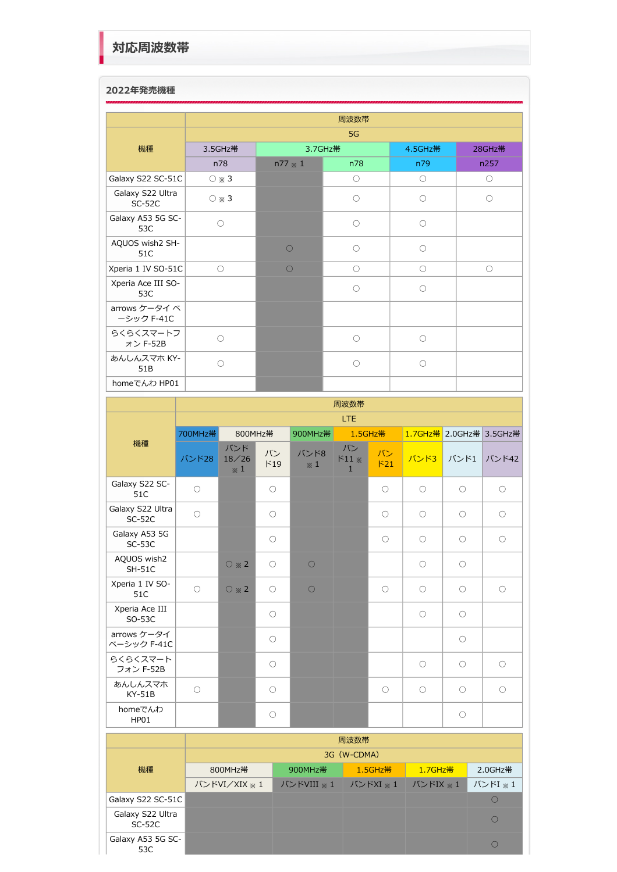## **2022年発売機種**

|                              |                     |                | 周波数帯       |            |            |
|------------------------------|---------------------|----------------|------------|------------|------------|
|                              |                     |                | 5G         |            |            |
| 機種                           | 3.5GHz带             |                | 3.7GHz帯    | 4.5GHz带    | 28GHz帯     |
|                              | n78                 | $n77 \times 1$ | n78        | n79        | n257       |
| Galaxy S22 SC-51C            | $\circ$ $\ast$ 3    |                | $\circ$    | $\circ$    | $\circ$    |
| Galaxy S22 Ultra<br>$SC-52C$ | $\circ$ $*$ 3       |                | $\bigcirc$ | $\bigcirc$ | ∩          |
| Galaxy A53 5G SC-<br>53C     | $\circ$             |                | $\bigcirc$ | $\bigcirc$ |            |
| AQUOS wish2 SH-<br>51C       |                     | $\bigcap$      | ∩          | $\bigcirc$ |            |
| Xperia 1 IV SO-51C           | $\circlearrowright$ |                | $\bigcirc$ | $\bigcirc$ | $\bigcirc$ |
| Xperia Ace III SO-<br>53C    |                     |                | $\bigcirc$ | ∩          |            |
| arrows ケータイベ<br>ーシック F-41C   |                     |                |            |            |            |
| らくらくスマートフ<br>ォン F-52B        | О                   |                | $\bigcirc$ | $\bigcirc$ |            |
| あんしんスマホ KY-<br>51B           | $\bigcirc$          |                | $\bigcirc$ | $\bigcirc$ |            |
| homeでんわ HP01                 |                     |                |            |            |            |

|                              | 周波数帯       |                            |            |                    |                              |                     |            |                     |                         |  |  |
|------------------------------|------------|----------------------------|------------|--------------------|------------------------------|---------------------|------------|---------------------|-------------------------|--|--|
|                              |            |                            |            |                    | <b>LTE</b>                   |                     |            |                     |                         |  |  |
|                              | 700MHz帯    | 800MHz帯                    |            | 900MHz帯            | 1.5GHz帯                      |                     |            |                     | 1.7GHz帯 2.0GHz帯 3.5GHz帯 |  |  |
| 機種                           | バンド28      | バンド<br>18/26<br>$\times 1$ | バン<br>F19  | バンド8<br>$\times 1$ | バン<br>$511*$<br>$\mathbf{1}$ | バン<br>F21           | バンド3       | バンド1                | バンド42                   |  |  |
| Galaxy S22 SC-<br>51C        | $\bigcirc$ |                            | $\bigcirc$ |                    |                              | $\bigcirc$          | $\bigcirc$ | $\bigcirc$          | $\bigcirc$              |  |  |
| Galaxy S22 Ultra<br>$SC-52C$ | $\circ$    |                            | $\circ$    |                    |                              | $\circlearrowright$ | $\circ$    | $\circlearrowright$ | $\circlearrowright$     |  |  |
| Galaxy A53 5G<br>$SC-53C$    |            |                            | $\bigcirc$ |                    |                              | $\bigcirc$          | $\bigcirc$ | $\bigcirc$          | $\bigcirc$              |  |  |
| AQUOS wish2<br><b>SH-51C</b> |            | $\circ$ $*$ 2              | $\circ$    | $\circ$            |                              |                     | $\circ$    | $\circlearrowright$ |                         |  |  |
| Xperia 1 IV SO-<br>51C       | $\bigcirc$ | $\circ$ $*$ 2              | $\bigcirc$ | $\bigcirc$         |                              | $\bigcirc$          | $\circ$    | $\circ$             | $\circ$                 |  |  |
| Xperia Ace III<br>SO-53C     |            |                            | $\bigcirc$ |                    |                              |                     | $\bigcirc$ | $\bigcirc$          |                         |  |  |
| arrows ケータイ<br>ベーシック F-41C   |            |                            | $\bigcirc$ |                    |                              |                     |            | $\circlearrowright$ |                         |  |  |
| らくらくスマート<br>フォン F-52B        |            |                            | $\bigcirc$ |                    |                              |                     | $\bigcirc$ | $\bigcirc$          | $\bigcirc$              |  |  |
| あんしんスマホ<br>$KY-51B$          | $\circ$    |                            | $\circ$    |                    |                              | $\circ$             | $\circ$    | $\bigcirc$          | $\circ$                 |  |  |
| homeでんわ<br>HP01              |            |                            | $\circ$    |                    |                              |                     |            | $\circlearrowright$ |                         |  |  |
| 周波数帯                         |            |                            |            |                    |                              |                     |            |                     |                         |  |  |
|                              |            |                            |            |                    | 3G (W-CDMA)                  |                     |            |                     |                         |  |  |
| 機種                           |            | 800MHz帯                    |            | 900MHz帯            |                              | 1.5GHz帯             | 1.7GHz帯    |                     | 2.0GHz带                 |  |  |
|                              |            | バンドVI/XIX ※ 1              |            | バンドVIII ※1         |                              | バンドXI ※1            | バンドIX ※1   |                     | バンドI ※1                 |  |  |

|                              | バンドVI/XIX ※ 1 │ バンドVIII ※ 1 │ バンドXI ※ 1 │ バンドIX ※ 1 │ バンドI ※ |  |  |
|------------------------------|--------------------------------------------------------------|--|--|
| Galaxy S22 SC-51C            |                                                              |  |  |
| Galaxy S22 Ultra<br>$SC-52C$ |                                                              |  |  |
| Galaxy A53 5G SC-<br>53C     |                                                              |  |  |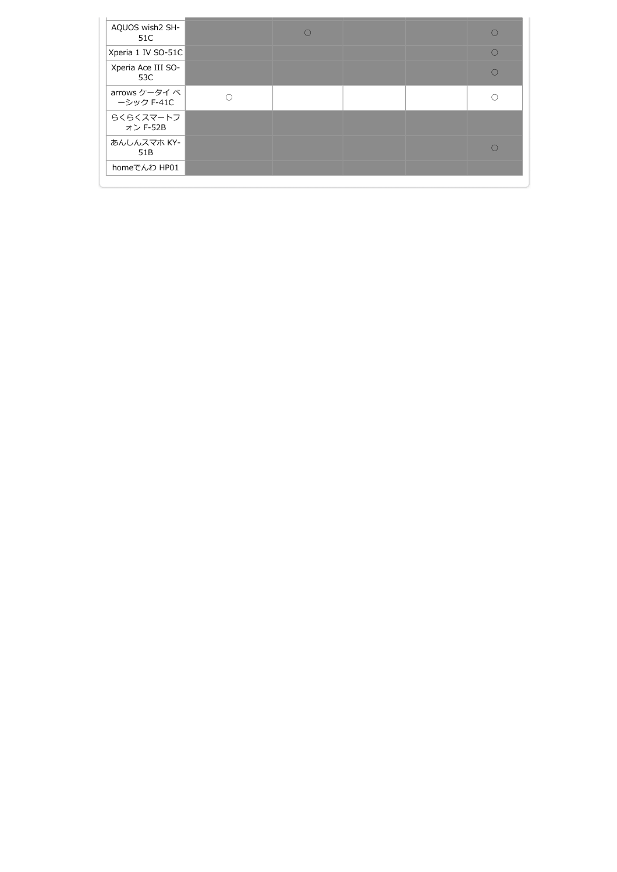| AQUOS wish2 SH-<br>51C      |  |  |  |
|-----------------------------|--|--|--|
| Xperia 1 IV SO-51C          |  |  |  |
| Xperia Ace III SO-<br>53C   |  |  |  |
| arrows ケータイ べ<br>ーシック F-41C |  |  |  |
| らくらくスマートフ<br>オン F-52B       |  |  |  |
| あんしんスマホ KY-<br>51B          |  |  |  |
| homeでんわ HP01                |  |  |  |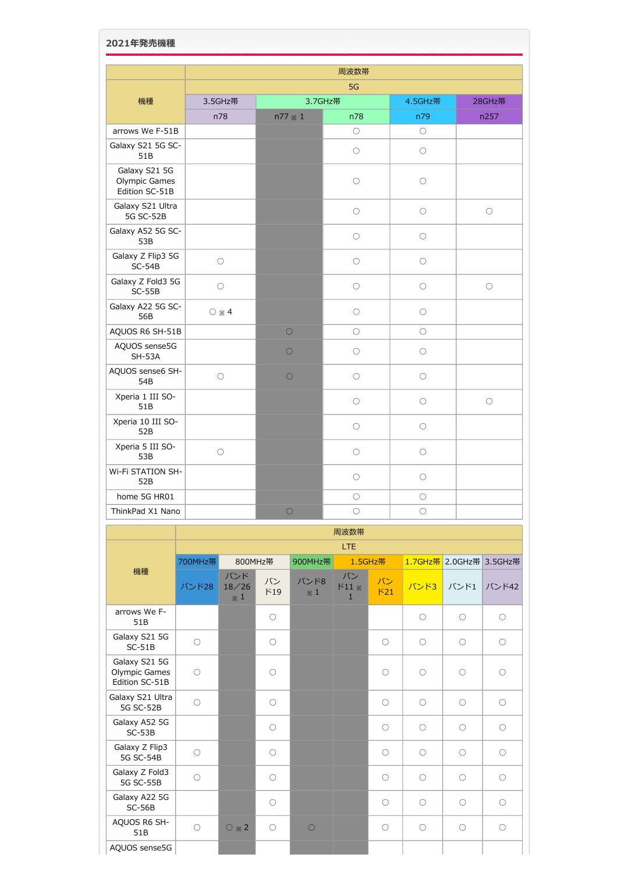|                                                  |                     |            | 周波数帯                |                     |            |
|--------------------------------------------------|---------------------|------------|---------------------|---------------------|------------|
|                                                  |                     |            |                     |                     |            |
| 機種                                               | 3.5GHz帯             |            | 3.7GHz帯             | 4.5GHz带             | 28GHz帯     |
| arrows We F-51B                                  | n78                 | n77 * 1    | n78<br>$\bigcirc$   | n79<br>$\bigcirc$   | n257       |
| Galaxy S21 5G SC-<br>51B                         |                     |            | $\bigcirc$          | $\circlearrowright$ |            |
| Galaxy S21 5G<br>Olympic Games<br>Edition SC-51B |                     |            | $\bigcirc$          | $\bigcirc$          |            |
| Galaxy S21 Ultra<br><b>5G SC-52B</b>             |                     |            | $\bigcirc$          | $\bigcirc$          | $\bigcirc$ |
| Galaxy A52 5G SC-<br>53B                         |                     |            | $\circlearrowright$ | $\circlearrowright$ |            |
| Galaxy Z Flip3 5G<br>$SC-54B$                    | $\bigcirc$          |            | $\bigcirc$          | $\bigcirc$          |            |
| Galaxy Z Fold3 5G<br>$SC-55B$                    | $\bigcirc$          |            | $\bigcirc$          | $\circlearrowright$ | $\bigcirc$ |
| Galaxy A22 5G SC-<br>56B                         | $\bigcirc \times 4$ |            | $\bigcirc$          | $\bigcirc$          |            |
| AQUOS R6 SH-51B                                  |                     | $\circ$    | $\circlearrowright$ | $\circlearrowright$ |            |
| AQUOS sense5G<br><b>SH-53A</b>                   |                     | $\bigcirc$ | $\bigcirc$          | $\bigcirc$          |            |
| AQUOS sense6 SH-<br>54B                          | $\bigcirc$          | $\circ$    | $\bigcirc$          | $\bigcirc$          |            |
| Xperia 1 III SO-<br>51B                          |                     |            | $\bigcirc$          | $\circlearrowright$ | $\circ$    |
| Xperia 10 III SO-<br>52B                         |                     |            | $\bigcirc$          | $\bigcirc$          |            |
| Xperia 5 III SO-<br>53B                          | $\bigcirc$          |            | $\bigcirc$          | $\bigcirc$          |            |
| Wi-Fi STATION SH-<br>52B                         |                     |            | $\bigcirc$          | $\bigcirc$          |            |
| home 5G HR01                                     |                     |            | $\circlearrowright$ | $\bigcirc$          |            |
| ThinkPad X1 Nano                                 |                     | $\bigcirc$ | $\bigcirc$          | $\bigcirc$          |            |

|                                                         |            | 周波数帯                       |                     |                    |                              |                     |                     |                 |            |  |  |  |
|---------------------------------------------------------|------------|----------------------------|---------------------|--------------------|------------------------------|---------------------|---------------------|-----------------|------------|--|--|--|
|                                                         |            |                            |                     |                    | <b>LTE</b>                   |                     |                     |                 |            |  |  |  |
|                                                         | 700MHz帯    | 800MHz帯                    |                     | 900MHz帯            |                              | 1.5GHz帯             |                     | 1.7GHz帯 2.0GHz帯 | 3.5GHz帯    |  |  |  |
| 機種                                                      | バンド28      | バンド<br>18/26<br>$\times 1$ | バン<br>F19           | バンド8<br>$\times 1$ | バン<br>$511*$<br>$\mathbf{1}$ | バン<br>F21           | バンド3                | バンド1            | バンド42      |  |  |  |
| arrows We F-<br>51B                                     |            |                            | $\circ$             |                    |                              |                     | $\circlearrowright$ | $\bigcirc$      | $\bigcirc$ |  |  |  |
| Galaxy S21 5G<br>$SC-51B$                               | $\bigcirc$ |                            | $\circlearrowright$ |                    |                              | $\bigcirc$          | $\bigcirc$          | $\bigcirc$      | $\bigcirc$ |  |  |  |
| Galaxy S21 5G<br><b>Olympic Games</b><br>Edition SC-51B | $\bigcirc$ |                            | $\bigcirc$          |                    |                              | $\bigcirc$          | $\bigcirc$          | $\bigcirc$      | $\bigcirc$ |  |  |  |
| Galaxy S21 Ultra<br><b>5G SC-52B</b>                    | $\bigcirc$ |                            | $\bigcirc$          |                    |                              | $\bigcirc$          | $\bigcirc$          | $\bigcirc$      | $\bigcirc$ |  |  |  |
| Galaxy A52 5G<br>$SC-53B$                               |            |                            | $\bigcirc$          |                    |                              | $\bigcirc$          | $\bigcirc$          | $\bigcirc$      | $\bigcirc$ |  |  |  |
| Galaxy Z Flip3<br><b>5G SC-54B</b>                      | $\bigcirc$ |                            | $\circlearrowright$ |                    |                              | O                   | $\bigcirc$          | $\bigcirc$      | $\bigcirc$ |  |  |  |
| Galaxy Z Fold3<br><b>5G SC-55B</b>                      | $\circ$    |                            | $\bigcirc$          |                    |                              | $\bigcirc$          | $\bigcirc$          | $\bigcirc$      | $\bigcirc$ |  |  |  |
| Galaxy A22 5G<br>$SC-56B$                               |            |                            | $\circlearrowright$ |                    |                              | $\bigcirc$          | $\bigcirc$          | $\bigcirc$      | $\bigcirc$ |  |  |  |
| AQUOS R6 SH-<br>51B                                     | $\circ$    | $\circ$ $*$ 2              | $\circ$             | $\bigcirc$         |                              | $\circlearrowright$ | $\circ$             | $\bigcirc$      | $\bigcirc$ |  |  |  |
| AQUOS sense5G                                           |            |                            |                     |                    |                              |                     |                     |                 |            |  |  |  |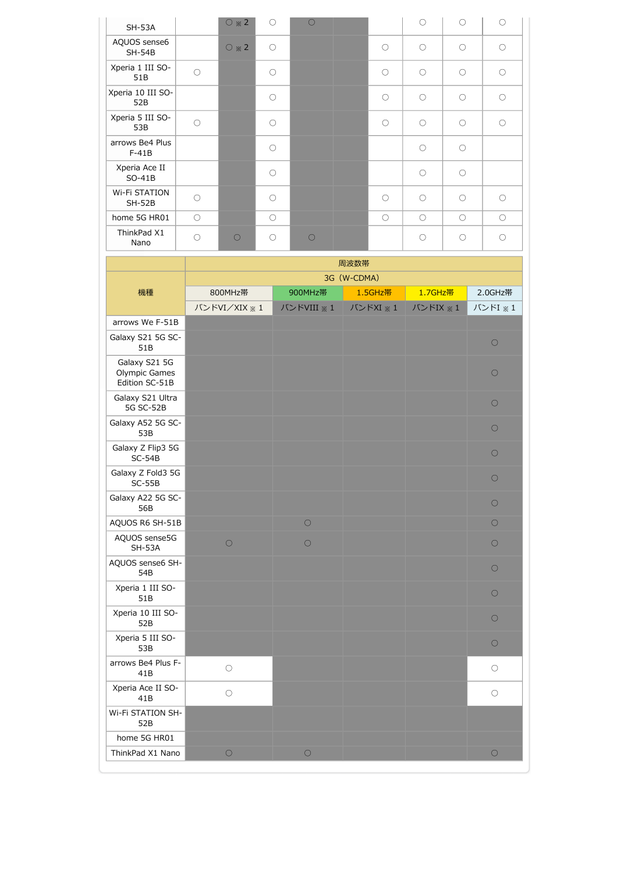| <b>SH-53A</b>                    |            | $\circ$ $*$ 2 | $\bigcirc$ | $\bigcirc$ |            | $\bigcirc$ | $\bigcap$  | $\bigcirc$ |
|----------------------------------|------------|---------------|------------|------------|------------|------------|------------|------------|
| AQUOS sense6<br>$SH-54B$         |            | $\circ$ $*$ 2 | $\circ$    |            | ∩          | $\bigcirc$ | $\bigcirc$ | $\bigcirc$ |
| Xperia 1 III SO-<br>51B          | $\bigcirc$ |               | $\bigcirc$ |            | ∩          | $\bigcirc$ | $\bigcirc$ | $\bigcirc$ |
| Xperia 10 III SO-<br>52B         |            |               | $\bigcirc$ |            | ∩          | ∩          | $\bigcirc$ | $\bigcirc$ |
| Xperia 5 III SO-<br>53B          | $\bigcirc$ |               | $\bigcirc$ |            | ∩          | $\bigcirc$ | $\bigcirc$ | $\bigcirc$ |
| arrows Be4 Plus<br>$F-41B$       |            |               | $\bigcirc$ |            |            | ∩          | $\bigcirc$ |            |
| Xperia Ace II<br>$SO-41B$        |            |               | $\bigcirc$ |            |            | ∩          | $\bigcirc$ |            |
| <b>Wi-Fi STATION</b><br>$SH-52B$ | $\bigcirc$ |               | $\bigcirc$ |            | ∩          | $\bigcirc$ | $\bigcirc$ | $\bigcirc$ |
| home 5G HR01                     | $\bigcirc$ |               | $\bigcirc$ |            | $\bigcirc$ | $\bigcirc$ | $\bigcirc$ | $\bigcirc$ |
| ThinkPad X1<br>Nano              | $\bigcirc$ | $\bigcirc$    | $\bigcirc$ | ∩          |            | $\bigcap$  | $\bigcap$  | $\bigcirc$ |

|                                                  |               |            | 周波数帯        |          |            |
|--------------------------------------------------|---------------|------------|-------------|----------|------------|
|                                                  |               |            | 3G (W-CDMA) |          |            |
| 機種                                               | 800MHz帯       | 900MHz帯    | 1.5GHz帯     | 1.7GHz帯  | 2.0GHz帯    |
|                                                  | バンドVI/XIX ※ 1 | バンドVIII ※1 | バンドXI ※1    | バンドIX ※1 | バンドI ※1    |
| arrows We F-51B                                  |               |            |             |          |            |
| Galaxy S21 5G SC-<br>51B                         |               |            |             |          | $\circ$    |
| Galaxy S21 5G<br>Olympic Games<br>Edition SC-51B |               |            |             |          | $\circ$    |
| Galaxy S21 Ultra<br><b>5G SC-52B</b>             |               |            |             |          | $\circ$    |
| Galaxy A52 5G SC-<br>53B                         |               |            |             |          | $\bigcirc$ |
| Galaxy Z Flip3 5G<br>$SC-54B$                    |               |            |             |          | $\circ$    |
| Galaxy Z Fold3 5G<br>$SC-55B$                    |               |            |             |          | $\bigcirc$ |
| Galaxy A22 5G SC-<br>56B                         |               |            |             |          | $\bigcirc$ |
| AQUOS R6 SH-51B                                  |               | $\bigcirc$ |             |          | $\circ$    |
| AQUOS sense5G<br><b>SH-53A</b>                   | $\circ$       | $\circ$    |             |          | $\circ$    |
| AQUOS sense6 SH-<br>54B                          |               |            |             |          | $\bigcirc$ |
| Xperia 1 III SO-<br>51B                          |               |            |             |          | $\bigcirc$ |
| Xperia 10 III SO-<br>52B                         |               |            |             |          | $\circ$    |
| Xperia 5 III SO-<br>53B                          |               |            |             |          | $\circ$    |
| arrows Be4 Plus F-<br>41B                        | $\bigcirc$    |            |             |          | $\circ$    |
| Xperia Ace II SO-<br>41B                         | $\bigcirc$    |            |             |          | $\bigcirc$ |
| Wi-Fi STATION SH-<br>52B                         |               |            |             |          |            |
| home 5G HR01                                     |               |            |             |          |            |
| ThinkPad X1 Nano                                 | $\circ$       | $\bigcirc$ |             |          | $\circ$    |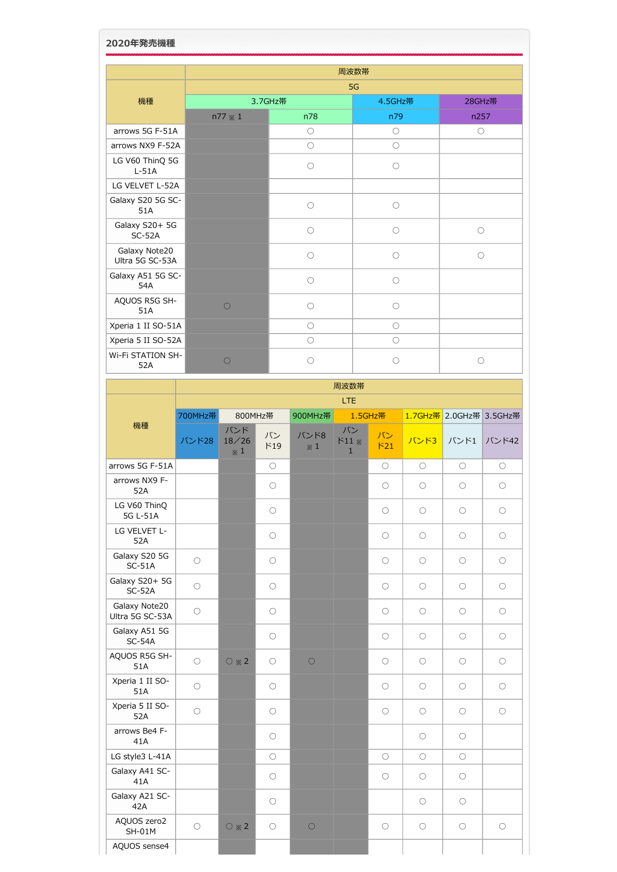| 2020年発売機種                        |                |                     |                     |            |  |  |  |  |  |  |  |
|----------------------------------|----------------|---------------------|---------------------|------------|--|--|--|--|--|--|--|
|                                  |                |                     | 周波数帯                |            |  |  |  |  |  |  |  |
|                                  | 5G             |                     |                     |            |  |  |  |  |  |  |  |
| 機種                               |                | 3.7GHz帯             | 4.5GHz带             | 28GHz帯     |  |  |  |  |  |  |  |
|                                  | $n77 \times 1$ | n78                 | n79                 | n257       |  |  |  |  |  |  |  |
| arrows 5G F-51A                  |                | $\circlearrowright$ | $\circ$             | $\circ$    |  |  |  |  |  |  |  |
| arrows NX9 F-52A                 |                | $\bigcirc$          | $\bigcirc$          |            |  |  |  |  |  |  |  |
| LG V60 ThinQ 5G<br>$L-51A$       |                | $\bigcirc$          | $\bigcirc$          |            |  |  |  |  |  |  |  |
| LG VELVET L-52A                  |                |                     |                     |            |  |  |  |  |  |  |  |
| Galaxy S20 5G SC-<br>51A         |                | $\bigcirc$          | $\circ$             |            |  |  |  |  |  |  |  |
| Galaxy S20+ 5G<br>$SC-52A$       |                | $\bigcirc$          | $\bigcirc$          | $\bigcirc$ |  |  |  |  |  |  |  |
| Galaxy Note20<br>Ultra 5G SC-53A |                | $\bigcirc$          | $\bigcirc$          | $\bigcirc$ |  |  |  |  |  |  |  |
| Galaxy A51 5G SC-<br>54A         |                | $\bigcirc$          | $\bigcirc$          |            |  |  |  |  |  |  |  |
| AQUOS R5G SH-<br>51A             | $\bigcirc$     | $\bigcirc$          | $\bigcirc$          |            |  |  |  |  |  |  |  |
| Xperia 1 II SO-51A               |                | $\circlearrowright$ | $\circlearrowright$ |            |  |  |  |  |  |  |  |
| Xperia 5 II SO-52A               |                | $\circ$             | $\bigcirc$          |            |  |  |  |  |  |  |  |
| <b>Wi-Fi STATION SH-</b><br>52A  | $\bigcirc$     | ∩                   | ∩                   | ∩          |  |  |  |  |  |  |  |

Н

|                                  |                     |                                         |                     |                        | 周波数帯                               |            |                     |                         |                     |
|----------------------------------|---------------------|-----------------------------------------|---------------------|------------------------|------------------------------------|------------|---------------------|-------------------------|---------------------|
|                                  |                     |                                         |                     |                        | LTE.                               |            |                     |                         |                     |
| 機種                               | 700MHz帯             | 800MHz帯                                 |                     | 900MHz帯                | 1.5GHz帯                            |            |                     | 1.7GHz帯 2.0GHz帯 3.5GHz帯 |                     |
|                                  | バンド28               | バンド<br>18/26<br>$\boldsymbol{\times}$ 1 | バン<br>F19           | バンド8<br>$\mathbb{X}$ 1 | バン<br>$F11 \times$<br>$\mathbf{1}$ | バン<br>F21  | バンド3                | バンド1                    | バンド42               |
| arrows 5G F-51A                  |                     |                                         | $\bigcirc$          |                        |                                    | $\bigcirc$ | $\bigcirc$          | $\bigcirc$              | $\bigcirc$          |
| arrows NX9 F-<br>52A             |                     |                                         | $\bigcirc$          |                        |                                    | $\bigcirc$ | $\bigcirc$          | $\bigcirc$              | $\bigcirc$          |
| LG V60 ThinQ<br>5G L-51A         |                     |                                         | $\circ$             |                        |                                    | $\circ$    | $\circlearrowright$ | $\circ$                 | $\circ$             |
| LG VELVET L-<br>52A              |                     |                                         | $\circ$             |                        |                                    | $\circ$    | $\circlearrowright$ | $\circlearrowright$     | $\circ$             |
| Galaxy S20 5G<br>$SC-51A$        | $\circ$             |                                         | $\bigcirc$          |                        |                                    | $\circ$    | $\circlearrowright$ | $\circlearrowright$     | $\circlearrowright$ |
| Galaxy S20+ 5G<br>$SC-52A$       | $\circ$             |                                         | $\bigcirc$          |                        |                                    | $\circ$    | $\circlearrowright$ | $\circlearrowright$     | $\circlearrowright$ |
| Galaxy Note20<br>Ultra 5G SC-53A | $\circ$             |                                         | $\bigcirc$          |                        |                                    | $\circ$    | $\circlearrowright$ | $\bigcirc$              | $\circlearrowright$ |
| Galaxy A51 5G<br>$SC-54A$        |                     |                                         | $\bigcirc$          |                        |                                    | $\bigcirc$ | $\bigcirc$          | $\bigcirc$              | $\bigcirc$          |
| AQUOS R5G SH-<br>51A             | $\circ$             | $\circ$ $*$ 2                           | $\circ$             | $\bigcirc$             |                                    | $\circ$    | $\circ$             | $\circ$                 | $\bigcirc$          |
| Xperia 1 II SO-<br>51A           | $\circ$             |                                         | $\circ$             |                        |                                    | $\circ$    | $\bigcirc$          | $\circ$                 | $\bigcirc$          |
| Xperia 5 II SO-<br>52A           | $\circlearrowright$ |                                         | $\circ$             |                        |                                    | $\circ$    | $\circlearrowright$ | $\circlearrowright$     | $\circ$             |
| arrows Be4 F-<br>41A             |                     |                                         | $\bigcirc$          |                        |                                    |            | $\bigcirc$          | $\bigcirc$              |                     |
| LG style3 L-41A                  |                     |                                         | $\circlearrowright$ |                        |                                    | 0          | $\bigcirc$          | $\bigcirc$              |                     |
| Galaxy A41 SC-<br>41A            |                     |                                         | $\circ$             |                        |                                    | $\circ$    | $\circlearrowright$ | $\circ$                 |                     |
| Galaxy A21 SC-<br>42A            |                     |                                         | $\circ$             |                        |                                    |            | $\circ$             | $\circlearrowright$     |                     |
| AQUOS zero2<br><b>SH-01M</b>     | $\circ$             | $\circ$ $*$ 2                           | $\circ$             | $\bigcirc$             |                                    | $\circ$    | $\circ$             | $\circ$                 | $\circ$             |
| AQUOS sense4                     |                     |                                         |                     |                        |                                    |            |                     |                         |                     |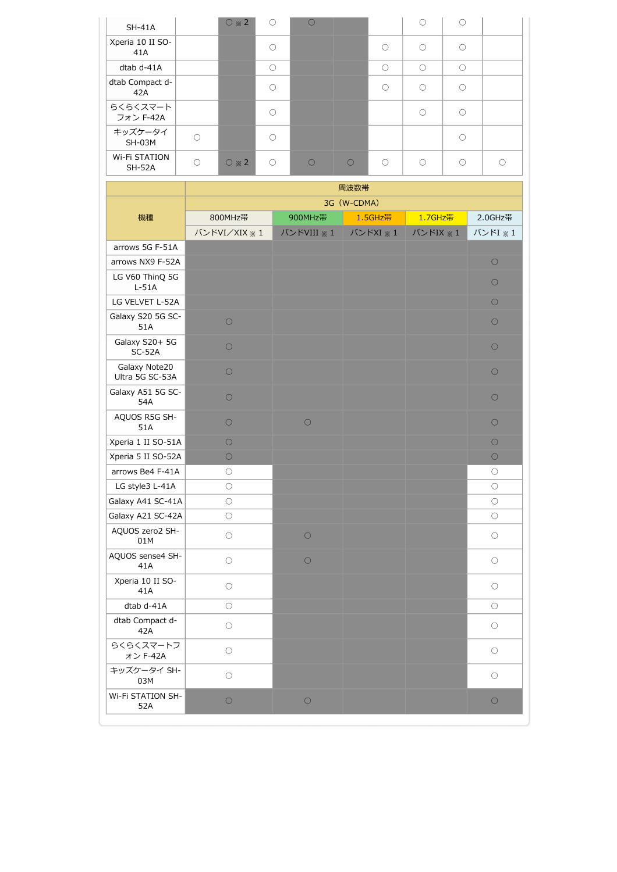| $SH-41A$                       |   | $\circ$ $*$ 2       | $\bigcirc$ |           |           |           | $\bigcap$ | $\bigcap$ |  |
|--------------------------------|---|---------------------|------------|-----------|-----------|-----------|-----------|-----------|--|
| Xperia 10 II SO-<br>41A        |   |                     | ( )        |           |           | ∩         | $\bigcap$ | ∩         |  |
| dtab d-41A                     |   |                     | $\bigcirc$ |           |           | $\bigcap$ | $\bigcap$ | $\bigcap$ |  |
| dtab Compact d-<br>42A         |   |                     | ∩          |           |           | ∩         | $\bigcap$ | ∩         |  |
| らくらくスマート<br>フォン F-42A          |   |                     | ו          |           |           |           | ∩         | ∩         |  |
| キッズケータイ<br>$SH-03M$            |   |                     | - 1        |           |           |           |           | ∩         |  |
| Wi-Fi STATION<br><b>SH-52A</b> | ∩ | $\bigcirc \times 2$ | $\bigcirc$ | $\bigcap$ | $\bigcap$ | ∩         | $\bigcap$ | $\bigcap$ |  |

|                                  | 周波数帯                |            |             |          |            |  |  |  |  |  |  |  |
|----------------------------------|---------------------|------------|-------------|----------|------------|--|--|--|--|--|--|--|
|                                  |                     |            | 3G (W-CDMA) |          |            |  |  |  |  |  |  |  |
| 機種                               | 800MHz帯             | 900MHz帯    | 1.5GHz帯     | 1.7GHz带  | 2.0GHz帯    |  |  |  |  |  |  |  |
|                                  | バンドVI/XIX ※ 1       | バンドVIII ※1 | バンドXI ※ 1   | バンドIX ※1 | バンドI ※ 1   |  |  |  |  |  |  |  |
| arrows 5G F-51A                  |                     |            |             |          |            |  |  |  |  |  |  |  |
| arrows NX9 F-52A                 |                     |            |             |          | $\bigcirc$ |  |  |  |  |  |  |  |
| LG V60 ThinQ 5G<br>$L-51A$       |                     |            |             |          | $\circ$    |  |  |  |  |  |  |  |
| LG VELVET L-52A                  |                     |            |             |          | $\circ$    |  |  |  |  |  |  |  |
| Galaxy S20 5G SC-<br>51A         | $\circ$             |            |             |          | $\bigcirc$ |  |  |  |  |  |  |  |
| Galaxy S20+ 5G<br>$SC-52A$       | $\circ$             |            |             |          | $\circ$    |  |  |  |  |  |  |  |
| Galaxy Note20<br>Ultra 5G SC-53A | $\circ$             |            |             |          | $\bigcirc$ |  |  |  |  |  |  |  |
| Galaxy A51 5G SC-<br>54A         | $\bigcirc$          |            |             |          | $\bigcirc$ |  |  |  |  |  |  |  |
| AQUOS R5G SH-<br>51A             | $\bigcirc$          | $\circ$    |             |          | $\bigcirc$ |  |  |  |  |  |  |  |
| Xperia 1 II SO-51A               | $\bigcirc$          |            |             |          | $\circ$    |  |  |  |  |  |  |  |
| Xperia 5 II SO-52A               | $\circ$             |            |             |          | $\circ$    |  |  |  |  |  |  |  |
| arrows Be4 F-41A                 | $\bigcirc$          |            |             |          | $\bigcirc$ |  |  |  |  |  |  |  |
| LG style3 L-41A                  | $\bigcirc$          |            |             |          | $\bigcirc$ |  |  |  |  |  |  |  |
| Galaxy A41 SC-41A                | $\bigcirc$          |            |             |          | $\circ$    |  |  |  |  |  |  |  |
| Galaxy A21 SC-42A                | $\bigcirc$          |            |             |          | $\bigcirc$ |  |  |  |  |  |  |  |
| AQUOS zero2 SH-<br>01M           | $\bigcirc$          | $\circ$    |             |          | $\circ$    |  |  |  |  |  |  |  |
| AQUOS sense4 SH-<br>41A          | $\circ$             | $\bigcirc$ |             |          | $\circ$    |  |  |  |  |  |  |  |
| Xperia 10 II SO-<br>41A          | $\bigcirc$          |            |             |          | $\circ$    |  |  |  |  |  |  |  |
| dtab d-41A                       | $\circlearrowright$ |            |             |          | $\circ$    |  |  |  |  |  |  |  |
| dtab Compact d-<br>42A           | $\bigcirc$          |            |             |          | $\bigcirc$ |  |  |  |  |  |  |  |
| らくらくスマートフ<br>オン F-42A            | $\bigcirc$          |            |             |          | $\bigcirc$ |  |  |  |  |  |  |  |
| キッズケータイ SH-<br>03M               | $\bigcirc$          |            |             |          | $\circ$    |  |  |  |  |  |  |  |
| Wi-Fi STATION SH-<br>52A         | $\circ$             | $\bigcirc$ |             |          | $\bigcirc$ |  |  |  |  |  |  |  |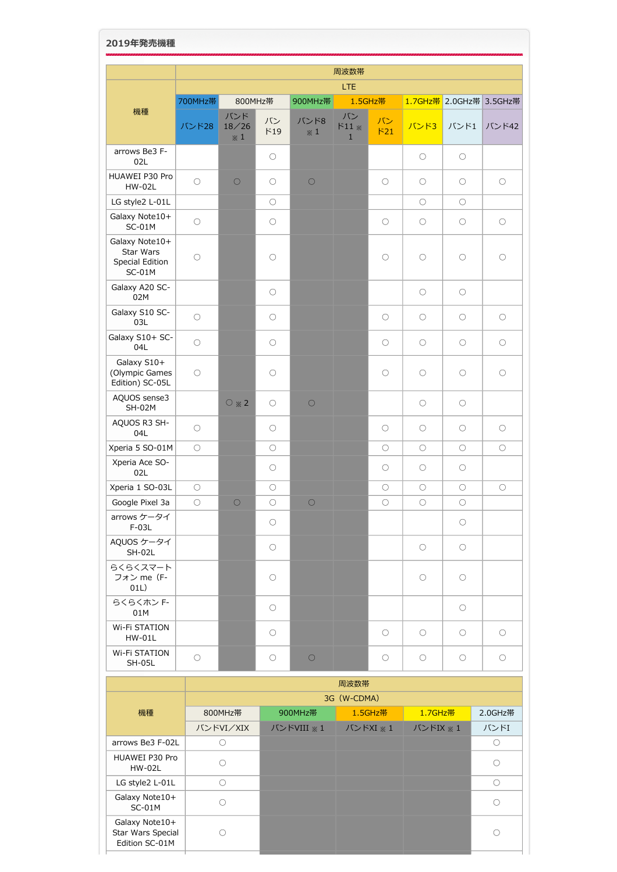## **2019年発売機種**

|                                                            |                     |                            |                     |              | 周波数帯                         |                     |                     |                         |            |
|------------------------------------------------------------|---------------------|----------------------------|---------------------|--------------|------------------------------|---------------------|---------------------|-------------------------|------------|
|                                                            |                     |                            |                     |              | LTE                          |                     |                     |                         |            |
|                                                            | 700MHz帯             | 800MHz帯                    |                     | 900MHz帯      |                              | 1.5GHz帯             |                     | 1.7GHz帯 2.0GHz帯 3.5GHz帯 |            |
| 機種                                                         | バンド28               | バンド<br>18/26<br>$\times 1$ | バン<br>F19           | バンド8<br>$*1$ | バン<br>$F11*$<br>$\mathbf{1}$ | バン<br>F21           | バンド3                | バンド1                    | バンド42      |
| arrows Be3 F-<br>02L                                       |                     |                            | $\circlearrowright$ |              |                              |                     | $\bigcirc$          | $\bigcirc$              |            |
| HUAWEI P30 Pro<br>HW-02L                                   | $\bigcirc$          | $\bigcirc$                 | О                   | $\circ$      |                              | $\circlearrowright$ | О                   | $\circlearrowright$     | $\bigcirc$ |
| LG style2 L-01L                                            |                     |                            | $\circlearrowright$ |              |                              |                     | О                   | $\circ$                 |            |
| Galaxy Note10+<br>$SC-01M$                                 | $\circlearrowright$ |                            | О                   |              |                              | O                   | О                   | $\circlearrowright$     | $\circ$    |
| Galaxy Note10+<br>Star Wars<br>Special Edition<br>$SC-01M$ | $\bigcirc$          |                            | $\circlearrowright$ |              |                              | $\circlearrowright$ | $\bigcirc$          | $\circ$                 | $\bigcirc$ |
| Galaxy A20 SC-<br>02M                                      |                     |                            | $\bigcirc$          |              |                              |                     | $\bigcirc$          | $\bigcirc$              |            |
| Galaxy S10 SC-<br>03L                                      | $\bigcirc$          |                            | $\bigcirc$          |              |                              | O                   | $\bigcirc$          | $\bigcirc$              | $\bigcirc$ |
| Galaxy S10+ SC-<br>04L                                     | $\bigcirc$          |                            | O                   |              |                              | $\circ$             | $\circlearrowright$ | $\circlearrowright$     | О          |
| Galaxy S10+<br>(Olympic Games<br>Edition) SC-05L           | $\bigcirc$          |                            | $\bigcirc$          |              |                              | $\circlearrowright$ | $\circlearrowright$ | $\circlearrowright$     | $\circ$    |
| AQUOS sense3<br><b>SH-02M</b>                              |                     | $\bigcirc \times 2$        | $\bigcirc$          | $\circ$      |                              |                     | $\bigcirc$          | $\bigcirc$              |            |
| AQUOS R3 SH-<br>04L                                        | $\bigcirc$          |                            | $\circlearrowright$ |              |                              | O                   | $\bigcirc$          | $\circ$                 | $\bigcirc$ |
| Xperia 5 SO-01M                                            | $\bigcirc$          |                            | $\bigcirc$          |              |                              | $\circlearrowright$ | $\circlearrowright$ | $\circlearrowright$     | $\bigcirc$ |
| Xperia Ace SO-<br>02L                                      |                     |                            | О                   |              |                              | O                   | О                   | $\circlearrowright$     |            |
| Xperia 1 SO-03L                                            | $\circlearrowright$ |                            | $\bigcirc$          |              |                              | $\circlearrowright$ | $\bigcirc$          | $\circlearrowright$     | $\circ$    |
| Google Pixel 3a                                            | $\bigcirc$          | $\bigcirc$                 | $\bigcirc$          | $\circ$      |                              | О                   | О                   | О                       |            |
| arrows ケータイ<br>$F-03L$                                     |                     |                            | $\bigcirc$          |              |                              |                     |                     | $\bigcirc$              |            |
| AQUOS ケータイ<br>SH-02L                                       |                     |                            | $\bigcirc$          |              |                              |                     | $\bigcirc$          | $\bigcirc$              |            |
| らくらくスマート<br>フォン me (F-<br>01L)                             |                     |                            | $\bigcirc$          |              |                              |                     | $\bigcirc$          | $\circ$                 |            |
| らくらくホン F-<br>01M                                           |                     |                            | $\bigcirc$          |              |                              |                     |                     | $\bigcirc$              |            |
| Wi-Fi STATION<br><b>HW-01L</b>                             |                     |                            | $\bigcirc$          |              |                              | $\bigcirc$          | $\bigcirc$          | $\bigcirc$              | $\circ$    |
| Wi-Fi STATION<br><b>SH-05L</b>                             | $\bigcirc$          |                            | $\bigcirc$          | $\bigcirc$   |                              | $\bigcirc$          | $\bigcirc$          | $\bigcirc$              | $\circ$    |

|                                                       |             |            | 周波数帯     |                                               |            |  |  |  |
|-------------------------------------------------------|-------------|------------|----------|-----------------------------------------------|------------|--|--|--|
|                                                       | 3G (W-CDMA) |            |          |                                               |            |  |  |  |
| 機種                                                    | 800MHz帯     | 900MHz帯    | 1.5GHz带  | 1.7GHz帯                                       | 2.0GHz带    |  |  |  |
|                                                       | バンドVI/XIX   | バンドVIII ※1 | バンドXI ※1 | $J\ddot{\vee}$ $\geq$ $\dot{\leq}$ $\geq$ $1$ | バンドI       |  |  |  |
| arrows Be3 F-02L                                      | C           |            |          |                                               | O          |  |  |  |
| HUAWEI P30 Pro<br><b>HW-02L</b>                       | $\cap$      |            |          |                                               | $\bigcap$  |  |  |  |
| LG style2 L-01L                                       | ◠           |            |          |                                               | $\bigcirc$ |  |  |  |
| Galaxy Note10+<br>$SC-01M$                            |             |            |          |                                               | ∩          |  |  |  |
| Galaxy Note10+<br>Star Wars Special<br>Edition SC-01M |             |            |          |                                               | ∩          |  |  |  |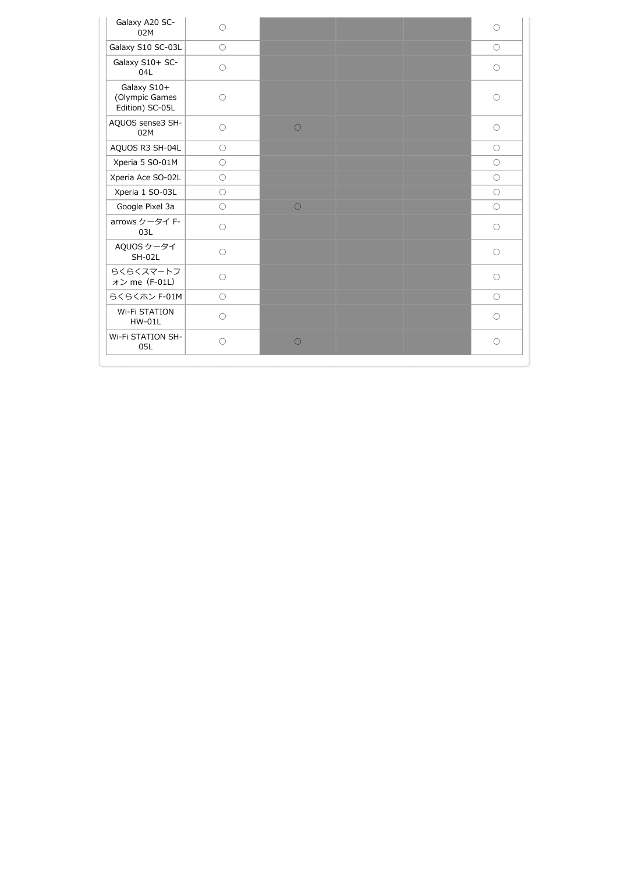| Galaxy A20 SC-<br>02M                            | $\bigcirc$ |            |  | $\bigcirc$ |
|--------------------------------------------------|------------|------------|--|------------|
| Galaxy S10 SC-03L                                | $\bigcirc$ |            |  | $\bigcirc$ |
| Galaxy S10+ SC-<br>04L                           | $\bigcirc$ |            |  | $\bigcirc$ |
| Galaxy S10+<br>(Olympic Games<br>Edition) SC-05L | $\bigcirc$ |            |  | $\circ$    |
| AQUOS sense3 SH-<br>02M                          | $\bigcirc$ | $\bigcirc$ |  | $\bigcirc$ |
| AQUOS R3 SH-04L                                  | $\bigcirc$ |            |  | $\bigcirc$ |
| Xperia 5 SO-01M                                  | $\bigcirc$ |            |  | $\bigcirc$ |
| Xperia Ace SO-02L                                | $\bigcirc$ |            |  | $\bigcirc$ |
| Xperia 1 SO-03L                                  | $\bigcirc$ |            |  | $\bigcirc$ |
| Google Pixel 3a                                  | $\bigcirc$ | $\bigcirc$ |  | $\bigcirc$ |
| arrows ケータイ F-<br>03L                            | $\bigcirc$ |            |  | $\bigcirc$ |
| AQUOS ケータイ<br>$SH-02L$                           | $\bigcirc$ |            |  | $\bigcirc$ |
| らくらくスマートフ<br>オン me (F-01L)                       | $\bigcirc$ |            |  | $\bigcirc$ |
| らくらくホン F-01M                                     | $\circ$    |            |  | $\bigcirc$ |
| <b>Wi-Fi STATION</b><br>$HW-01L$                 | $\bigcirc$ |            |  | $\bigcirc$ |
| Wi-Fi STATION SH-<br>05L                         | ∩          | $\bigcirc$ |  | $\bigcirc$ |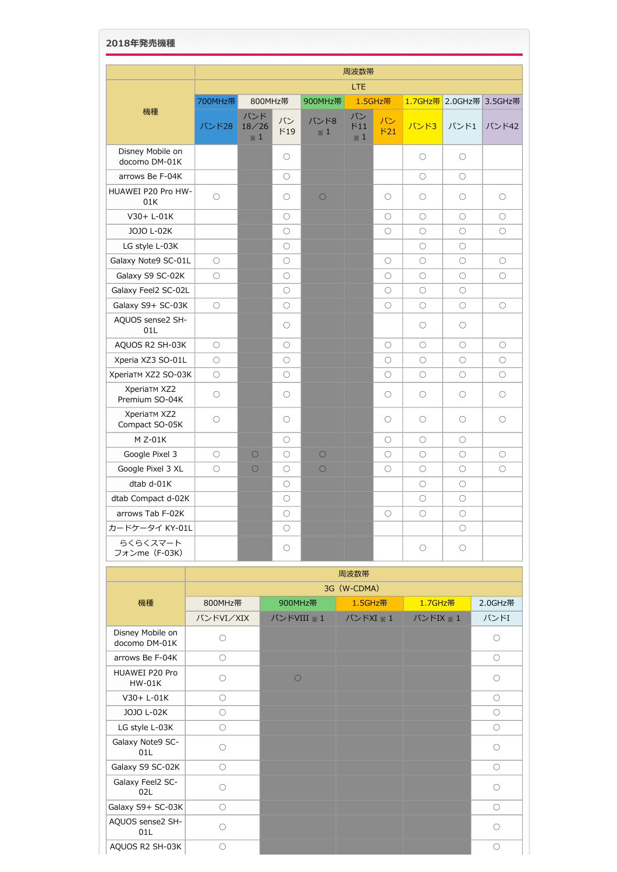| 2018年発売機種                             |                     |                            |                     |                    |                             |                     |                     |                     |                     |  |
|---------------------------------------|---------------------|----------------------------|---------------------|--------------------|-----------------------------|---------------------|---------------------|---------------------|---------------------|--|
|                                       |                     |                            |                     |                    | 周波数帯                        |                     |                     |                     |                     |  |
|                                       | LTE                 |                            |                     |                    |                             |                     |                     |                     |                     |  |
|                                       | 700MHz帯             | 800MHz帯                    |                     | 900MHz帯            |                             | 1.5GHz帯             | 1.7GHz帯             |                     | 2.0GHz帯 3.5GHz帯     |  |
| 機種                                    | バンド28               | バンド<br>18/26<br>$\times 1$ | バン<br>F19           | バンド8<br>$\times 1$ | バン<br>F11<br>$\mathbb{X}$ 1 | バン<br>F21           | バンド3                | バンド1                | バンド42               |  |
| Disney Mobile on<br>docomo DM-01K     |                     |                            | $\circ$             |                    |                             |                     | $\bigcirc$          | $\circ$             |                     |  |
| arrows Be F-04K                       |                     |                            | $\bigcirc$          |                    |                             |                     | $\bigcirc$          | $\bigcirc$          |                     |  |
| HUAWEI P20 Pro HW-<br>01K             | $\circ$             |                            | $\bigcirc$          | $\bigcirc$         |                             | $\bigcirc$          | $\bigcirc$          | $\bigcirc$          | $\bigcirc$          |  |
| V30+ L-01K                            |                     |                            | $\bigcirc$          |                    |                             | $\bigcirc$          | $\bigcirc$          | $\bigcirc$          | $\bigcirc$          |  |
| JOJO L-02K                            |                     |                            | $\circlearrowright$ |                    |                             | $\circlearrowright$ | $\circlearrowright$ | $\circlearrowright$ | $\circlearrowright$ |  |
| LG style L-03K                        |                     |                            | $\circlearrowright$ |                    |                             |                     | $\circlearrowright$ | $\circlearrowright$ |                     |  |
| Galaxy Note9 SC-01L                   | $\bigcirc$          |                            | $\bigcirc$          |                    |                             | $\bigcirc$          | $\bigcirc$          | $\bigcirc$          | $\bigcirc$          |  |
| Galaxy S9 SC-02K                      | $\bigcirc$          |                            | $\bigcirc$          |                    |                             | $\bigcirc$          | $\bigcirc$          | $\circ$             | $\bigcirc$          |  |
| Galaxy Feel2 SC-02L                   |                     |                            | $\circlearrowright$ |                    |                             | $\bigcirc$          | $\bigcirc$          | $\bigcirc$          |                     |  |
| Galaxy S9+ SC-03K                     | $\bigcirc$          |                            | $\circ$             |                    |                             | $\bigcirc$          | $\circ$             | $\circ$             | $\bigcirc$          |  |
| AQUOS sense2 SH-<br>01L               |                     |                            | $\circlearrowright$ |                    |                             |                     | $\circlearrowright$ | $\circlearrowright$ |                     |  |
| AQUOS R2 SH-03K                       | $\circlearrowright$ |                            | $\circlearrowright$ |                    |                             | $\circlearrowright$ | $\circlearrowright$ | $\circlearrowright$ | $\bigcirc$          |  |
| Xperia XZ3 SO-01L                     | $\circlearrowright$ |                            | $\circlearrowright$ |                    |                             | $\circlearrowright$ | $\circlearrowright$ | $\circlearrowright$ | $\bigcirc$          |  |
| XperiaTM XZ2 SO-03K                   | $\bigcirc$          |                            | $\bigcirc$          |                    |                             | $\bigcirc$          | $\bigcirc$          | $\bigcirc$          | $\bigcirc$          |  |
| <b>XperiaTM XZ2</b><br>Premium SO-04K | $\circ$             |                            | $\circlearrowright$ |                    |                             | $\circlearrowright$ | $\circlearrowright$ | $\circlearrowright$ | $\circlearrowright$ |  |
| <b>XperiaTM XZ2</b><br>Compact SO-05K | $\circlearrowright$ |                            | О                   |                    |                             | $\circlearrowright$ | $\circlearrowright$ | $\circlearrowright$ | $\circlearrowright$ |  |
| M Z-01K                               |                     |                            | $\circlearrowright$ |                    |                             | $\circlearrowright$ | $\bigcirc$          | $\circlearrowright$ |                     |  |
| Google Pixel 3                        | $\circlearrowright$ | $\circ$                    | $\circlearrowright$ | $\circ$            |                             | $\circlearrowright$ | $\circlearrowright$ | $\circlearrowright$ | O                   |  |
| Google Pixel 3 XL                     | $\bigcirc$          | $\bigcirc$                 | $\bigcirc$          | $\bigcirc$         |                             | $\bigcirc$          | $\bigcirc$          | $\bigcirc$          | $\bigcirc$          |  |
| dtab d-01K                            |                     |                            | $\circlearrowright$ |                    |                             |                     | $\circlearrowright$ | $\circlearrowright$ |                     |  |
| dtab Compact d-02K                    |                     |                            | $\circlearrowright$ |                    |                             |                     | $\circlearrowright$ | $\bigcirc$          |                     |  |
| arrows Tab F-02K                      |                     |                            | $\bigcirc$          |                    |                             | $\bigcirc$          | $\bigcirc$          | $\bigcirc$          |                     |  |
| カードケータイ KY-01L                        |                     |                            | $\circlearrowright$ |                    |                             |                     |                     | $\circlearrowright$ |                     |  |
| らくらくスマート<br>フォンme(F-03K)              |                     |                            | $\circlearrowright$ |                    |                             |                     | $\circlearrowright$ | $\circlearrowright$ |                     |  |

|                                   |                     | 周波数帯       |             |          |                     |  |  |  |  |  |  |
|-----------------------------------|---------------------|------------|-------------|----------|---------------------|--|--|--|--|--|--|
|                                   |                     |            | 3G (W-CDMA) |          |                     |  |  |  |  |  |  |
| 機種                                | 800MHz帯             | 900MHz帯    | 1.5GHz带     | 1.7GHz带  | 2.0GHz带             |  |  |  |  |  |  |
|                                   | バンドVI/XIX           | バンドVIII ※1 | バンドXI ※ 1   | バンドIX ※1 | バンドI                |  |  |  |  |  |  |
| Disney Mobile on<br>docomo DM-01K | $\bigcirc$          |            |             |          | $\bigcirc$          |  |  |  |  |  |  |
| arrows Be F-04K                   | $\circlearrowright$ |            |             |          | $\circ$             |  |  |  |  |  |  |
| HUAWEI P20 Pro<br>$HW-01K$        | $\bigcirc$          | $\bigcirc$ |             |          | $\bigcirc$          |  |  |  |  |  |  |
| $V30+L-01K$                       | $\circlearrowright$ |            |             |          | $\circ$             |  |  |  |  |  |  |
| JOJO L-02K                        | $\bigcirc$          |            |             |          | $\bigcirc$          |  |  |  |  |  |  |
| LG style L-03K                    | $\circlearrowright$ |            |             |          | $\circ$             |  |  |  |  |  |  |
| Galaxy Note9 SC-<br>01L           | $\bigcirc$          |            |             |          | $\bigcirc$          |  |  |  |  |  |  |
| Galaxy S9 SC-02K                  | $\circ$             |            |             |          | $\circlearrowright$ |  |  |  |  |  |  |
| Galaxy Feel2 SC-<br>02L           | $\bigcirc$          |            |             |          | $\circ$             |  |  |  |  |  |  |
| Galaxy S9+ SC-03K                 | $\bigcirc$          |            |             |          | $\bigcirc$          |  |  |  |  |  |  |
| AQUOS sense2 SH-<br>01L           | 0                   |            |             |          | O                   |  |  |  |  |  |  |
| AQUOS R2 SH-03K                   | $\bigcirc$          |            |             |          | $\bigcirc$          |  |  |  |  |  |  |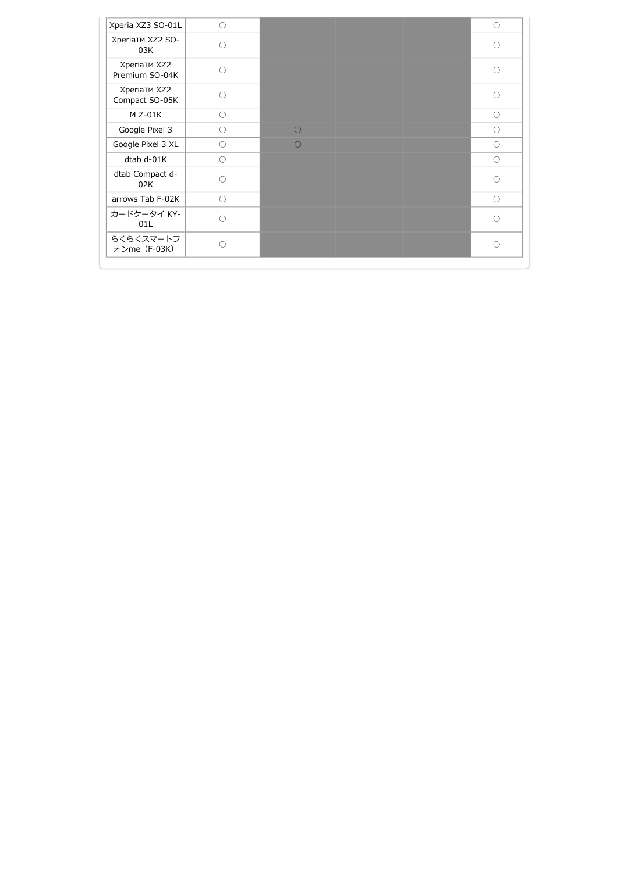| Xperia XZ3 SO-01L              | $\bigcirc$ |            | $\circ$    |
|--------------------------------|------------|------------|------------|
| XperiaTM XZ2 SO-<br>03K        | $\bigcap$  |            | $\bigcirc$ |
| XperiaTM XZ2<br>Premium SO-04K | ∩          |            | ∩          |
| XperiaTM XZ2<br>Compact SO-05K | ∩          |            | ∩          |
| $M$ Z-01K                      | $\circ$    |            | $\circ$    |
| Google Pixel 3                 | $\bigcirc$ | $\bigcirc$ | $\bigcirc$ |
| Google Pixel 3 XL              | $\bigcirc$ | $\bigcap$  | $\circ$    |
| dtab d-01K                     | $\bigcirc$ |            | $\bigcirc$ |
| dtab Compact d-<br>02K         | ∩          |            | $\bigcirc$ |
| arrows Tab F-02K               | $\bigcirc$ |            | $\bigcirc$ |
| カードケータイ KY-<br>01L             | ∩          |            | $\bigcirc$ |
| らくらくスマートフ<br>オンme (F-03K)      | ∩          |            | $\bigcap$  |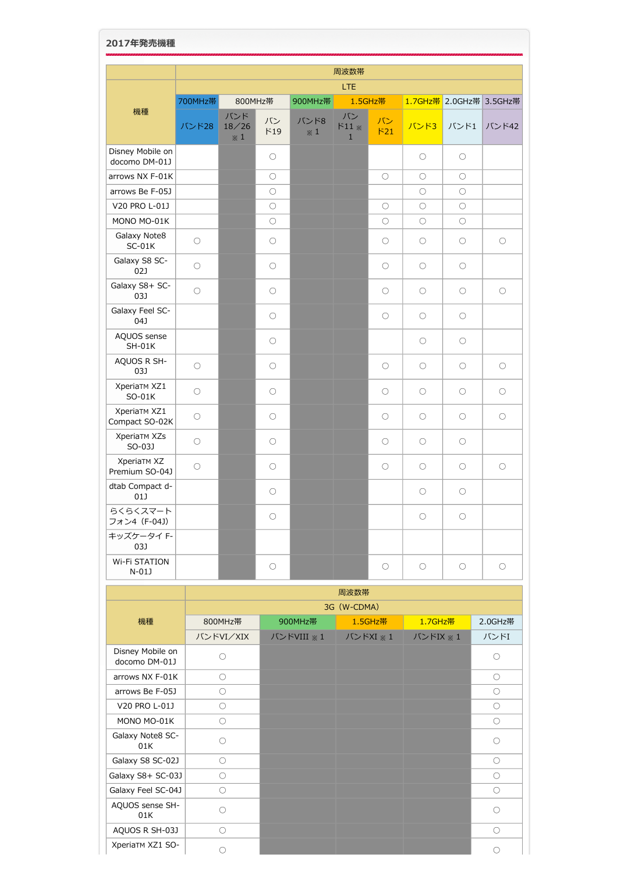| 2017年発売機種                            |                     |                            |                     |                        |                                    |                     |                     |                         |                     |
|--------------------------------------|---------------------|----------------------------|---------------------|------------------------|------------------------------------|---------------------|---------------------|-------------------------|---------------------|
|                                      |                     |                            |                     |                        | 周波数帯                               |                     |                     |                         |                     |
|                                      |                     |                            |                     |                        | LTE                                |                     |                     |                         |                     |
|                                      | 700MHz帯             | 800MHz帯                    |                     | 1.5GHz帯<br>900MHz帯     |                                    |                     |                     | 1.7GHz帯 2.0GHz帯 3.5GHz帯 |                     |
| 機種                                   | バンド28               | バンド<br>18/26<br>$\times 1$ | バン<br>F19           | バンド8<br>$\mathbb{X}$ 1 | バン<br>$F11 \times$<br>$\mathbf{1}$ | バン<br>F21           | バンド3                | バンド1                    | バンド42               |
| Disney Mobile on<br>docomo DM-01J    |                     |                            | $\circlearrowright$ |                        |                                    |                     | $\circlearrowright$ | $\circlearrowright$     |                     |
| arrows NX F-01K                      |                     |                            | $\circ$             |                        |                                    | 0                   | О                   | $\circlearrowright$     |                     |
| arrows Be F-05J                      |                     |                            | $\bigcirc$          |                        |                                    |                     | $\bigcirc$          | $\bigcirc$              |                     |
| V20 PRO L-01J                        |                     |                            | $\circlearrowright$ |                        |                                    | $\circlearrowright$ | $\circlearrowright$ | $\circlearrowright$     |                     |
| MONO MO-01K                          |                     |                            | $\bigcirc$          |                        |                                    | $\bigcirc$          | О                   | $\circlearrowright$     |                     |
| Galaxy Note8<br>$SC-01K$             | $\circlearrowright$ |                            | $\circ$             |                        |                                    | $\circlearrowright$ | $\circlearrowright$ | $\circlearrowright$     | $\circlearrowright$ |
| Galaxy S8 SC-<br>02J                 | $\circlearrowright$ |                            | $\circ$             |                        |                                    | О                   | О                   | $\circlearrowright$     |                     |
| Galaxy S8+ SC-<br>03J                | $\circlearrowright$ |                            | $\circ$             |                        |                                    | О                   | О                   | $\circlearrowright$     | $\circlearrowright$ |
| Galaxy Feel SC-<br>04J               |                     |                            | $\circ$             |                        |                                    | $\circlearrowright$ | $\circlearrowright$ | $\circ$                 |                     |
| AQUOS sense<br>$SH-01K$              |                     |                            | $\circlearrowright$ |                        |                                    |                     | $\circlearrowright$ | $\circ$                 |                     |
| AQUOS R SH-<br>03J                   | $\circlearrowright$ |                            | $\circ$             |                        |                                    | О                   | О                   | $\circ$                 | $\circ$             |
| XperiaTM XZ1<br>SO-01K               | $\bigcirc$          |                            | O                   |                        |                                    | О                   | О                   | $\circ$                 | O                   |
| XperiaTM XZ1<br>Compact SO-02K       | $\bigcirc$          |                            | $\circlearrowright$ |                        |                                    | $\circlearrowright$ | $\circlearrowright$ | $\circ$                 | $\circlearrowright$ |
| <b>XperiaTM XZs</b><br>SO-03J        | $\bigcirc$          |                            | $\circlearrowright$ |                        |                                    | $\circlearrowright$ | $\circlearrowright$ | $\circlearrowright$     |                     |
| <b>XperiaTM XZ</b><br>Premium SO-04J | $\bigcirc$          |                            | $\circlearrowright$ |                        |                                    | $\circlearrowright$ | $\circlearrowright$ | $\circlearrowright$     | $\bigcirc$          |
| dtab Compact d-<br>01J               |                     |                            | $\bigcirc$          |                        |                                    |                     | $\circlearrowright$ | $\circlearrowright$     |                     |
| らくらくスマート<br>フォン4 (F-04J)             |                     |                            | $\bigcirc$          |                        |                                    |                     | $\bigcirc$          | $\bigcirc$              |                     |
| キッズケータイ F-<br>03J                    |                     |                            |                     |                        |                                    |                     |                     |                         |                     |
| Wi-Fi STATION<br>$N-01J$             |                     |                            | $\bigcirc$          |                        |                                    | $\bigcirc$          | $\bigcirc$          | $\bigcirc$              | $\bigcirc$          |

|                                   |                     |            | 周波数帯        |          |            |
|-----------------------------------|---------------------|------------|-------------|----------|------------|
|                                   |                     |            | 3G (W-CDMA) |          |            |
| 機種                                | 800MHz帯             | 900MHz帯    | 1.5GHz帯     | 1.7GHz帯  | 2.0GHz带    |
|                                   | バンドVI/XIX           | バンドVIII ※1 | バンドXI ※1    | バンドIX ※1 | バンドI       |
| Disney Mobile on<br>docomo DM-01J | Ω                   |            |             |          | $\bigcirc$ |
| arrows NX F-01K                   | $\bigcirc$          |            |             |          | $\bigcirc$ |
| arrows Be F-05J                   | $\bigcirc$          |            |             |          | $\bigcirc$ |
| V20 PRO L-01J                     | $\circlearrowright$ |            |             |          | $\circ$    |
| MONO MO-01K                       | $\bigcirc$          |            |             |          | $\circ$    |
| Galaxy Note8 SC-<br>01K           | ∩                   |            |             |          | ∩          |
| Galaxy S8 SC-02J                  | $\bigcirc$          |            |             |          | $\bigcirc$ |
| Galaxy S8+ SC-03J                 | O                   |            |             |          | $\bigcirc$ |
| Galaxy Feel SC-04J                | $\bigcirc$          |            |             |          | $\bigcirc$ |
| AQUOS sense SH-<br>01K            | ∩                   |            |             |          | ∩          |
| AQUOS R SH-03J                    | $\bigcirc$          |            |             |          | $\bigcirc$ |
| XperiaTM XZ1 SO-                  |                     |            |             |          | ∩          |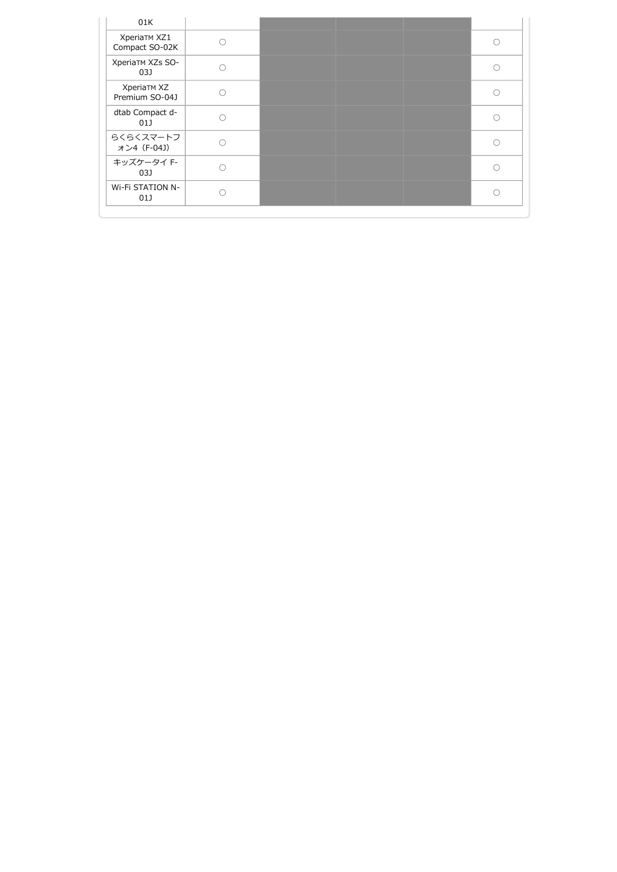| 01K                                  |  |  |
|--------------------------------------|--|--|
| XperiaTM XZ1<br>Compact SO-02K       |  |  |
| XperiaTM XZs SO-<br>03J              |  |  |
| <b>XperiaTM XZ</b><br>Premium SO-04J |  |  |
| dtab Compact d-<br>01J               |  |  |
| らくらくスマートフ<br>オン4 (F-04J)             |  |  |
| キッズケータイ F-<br>03J                    |  |  |
| Wi-Fi STATION N-<br>01J              |  |  |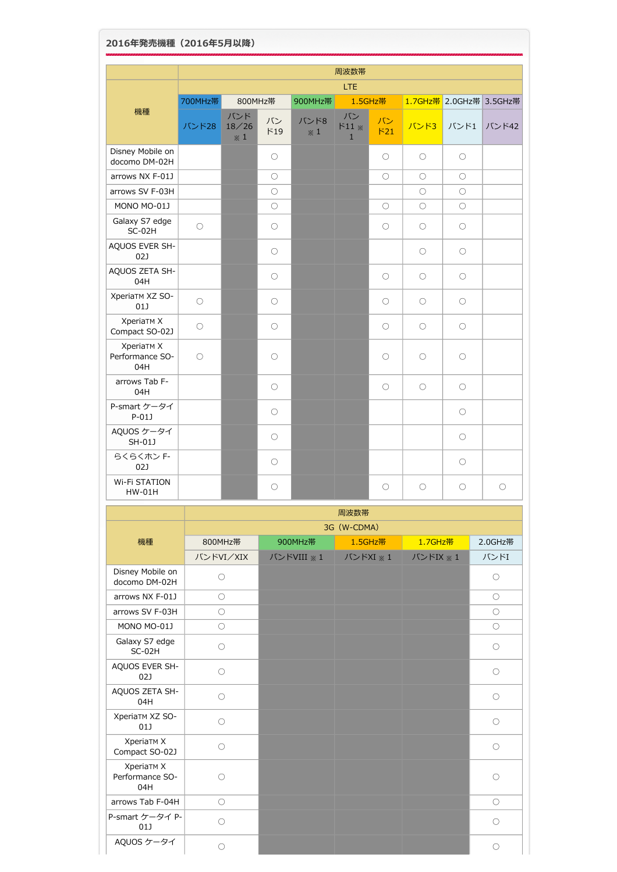| 2016年発売機種 (2016年5月以降)                       |                     |                            |                     |                    |                                    |                     |                     |                     |                         |
|---------------------------------------------|---------------------|----------------------------|---------------------|--------------------|------------------------------------|---------------------|---------------------|---------------------|-------------------------|
|                                             |                     |                            |                     |                    | 周波数帯                               |                     |                     |                     |                         |
|                                             |                     |                            |                     |                    | <b>LTE</b>                         |                     |                     |                     |                         |
|                                             | 700MHz帯             | 800MHz帯                    |                     | 900MHz帯            |                                    | 1.5GHz帯             |                     |                     | 1.7GHz帯 2.0GHz帯 3.5GHz帯 |
| 機種                                          | バンド28               | バンド<br>18/26<br>$\times 1$ | バン<br>F19           | バンド8<br>$\times 1$ | バン<br>$511 \times$<br>$\mathbf{1}$ | バン<br>F21           | バンド3                | バンド1                | バンド42                   |
| Disney Mobile on<br>docomo DM-02H           |                     |                            | О                   |                    |                                    | $\circlearrowright$ | $\circ$             | $\circlearrowright$ |                         |
| arrows NX F-01J                             |                     |                            | $\circ$             |                    |                                    | $\circlearrowright$ | $\circlearrowright$ | $\circlearrowright$ |                         |
| arrows SV F-03H                             |                     |                            | $\circlearrowright$ |                    |                                    |                     | $\circlearrowright$ | $\bigcirc$          |                         |
| MONO MO-01J                                 |                     |                            | $\circ$             |                    |                                    | О                   | О                   | $\circlearrowright$ |                         |
| Galaxy S7 edge<br>$SC-02H$                  | $\bigcirc$          |                            | О                   |                    |                                    | О                   | O                   | $\circlearrowright$ |                         |
| AQUOS EVER SH-<br>02J                       |                     |                            | $\circ$             |                    |                                    |                     | О                   | $\circlearrowright$ |                         |
| AQUOS ZETA SH-<br>04H                       |                     |                            | $\circ$             |                    |                                    | О                   | $\circlearrowright$ | $\circlearrowright$ |                         |
| XperiaTM XZ SO-<br>01]                      | $\circlearrowright$ |                            | $\circ$             |                    |                                    | $\circlearrowright$ | $\circlearrowright$ | $\circlearrowright$ |                         |
| XperiaTM X<br>Compact SO-02J                | $\circlearrowright$ |                            | $\circ$             |                    |                                    | $\circlearrowright$ | $\circlearrowright$ | $\circlearrowright$ |                         |
| XperiaTM X<br>Performance SO-<br>04H        | $\circlearrowright$ |                            | $\bigcirc$          |                    |                                    | $\circlearrowright$ | $\circlearrowright$ | $\circlearrowright$ |                         |
| arrows Tab F-<br>04H                        |                     |                            | $\circ$             |                    |                                    | $\circlearrowright$ | $\circlearrowright$ | $\circ$             |                         |
| P-smart ケータイ<br>$P-01J$                     |                     |                            | $\circ$             |                    |                                    |                     |                     | $\circ$             |                         |
| AQUOS ケータイ<br>SH-01J                        |                     |                            | $\bigcirc$          |                    |                                    |                     |                     | $\bigcirc$          |                         |
| らくらくホン F-<br>02J                            |                     |                            | О                   |                    |                                    |                     |                     | $\bigcirc$          |                         |
| <b>Wi-Fi STATION</b><br>HW-01H              |                     |                            | О                   |                    |                                    | О                   | O                   | $\bigcirc$          | О                       |
|                                             |                     |                            |                     |                    | 周波数帯                               |                     |                     |                     |                         |
|                                             |                     |                            |                     |                    | 3G (W-CDMA)                        |                     |                     |                     |                         |
| 機種                                          |                     | 800MHz帯                    |                     | 900MHz帯            |                                    | 1.5GHz带             | 1.7GHz帯             |                     | 2.0GHz帯                 |
|                                             |                     | バンドVI/XIX                  |                     | バンドVIII ※1         | バンドXI ※1                           |                     | バンドIX ※1            |                     | バンドI                    |
| Disney Mobile on<br>docomo DM-02H           | $\bigcirc$          |                            |                     |                    |                                    |                     |                     |                     | $\bigcirc$              |
| arrows NX F-01J                             |                     | $\bigcirc$                 |                     |                    |                                    |                     |                     |                     | $\bigcirc$              |
| arrows SV F-03H                             |                     | $\circlearrowright$        |                     |                    |                                    |                     |                     |                     | $\circlearrowright$     |
| MONO MO-01J                                 | $\circlearrowright$ |                            |                     |                    |                                    |                     |                     |                     | $\circlearrowright$     |
| Galaxy S7 edge<br>$SC-02H$                  |                     | $\circlearrowright$        |                     |                    |                                    |                     |                     |                     | $\circ$                 |
| AQUOS EVER SH-<br>02J                       | $\circlearrowright$ |                            |                     |                    |                                    |                     |                     |                     | $\circ$                 |
| AQUOS ZETA SH-<br>04H                       | $\circlearrowright$ |                            |                     |                    |                                    |                     |                     |                     | $\circ$                 |
| XperiaTM XZ SO-<br>01J                      | $\circlearrowright$ |                            |                     |                    |                                    |                     |                     |                     | $\circ$                 |
| XperiaTM X<br>Compact SO-02J                |                     | $\circlearrowright$        |                     |                    |                                    |                     |                     |                     | $\circlearrowright$     |
| <b>XperiaTM X</b><br>Performance SO-<br>04H |                     | $\circlearrowright$        |                     |                    |                                    |                     |                     |                     | $\circlearrowright$     |
| arrows Tab F-04H                            |                     | $\circlearrowright$        |                     |                    |                                    |                     |                     |                     | $\circlearrowright$     |
| P-smart ケータイ P-<br>01J                      |                     | $\circlearrowright$        |                     |                    |                                    |                     |                     |                     | $\circlearrowright$     |
| AQUOS ケータイ                                  |                     | $\bigcirc$                 |                     |                    |                                    |                     |                     |                     | $\bigcirc$              |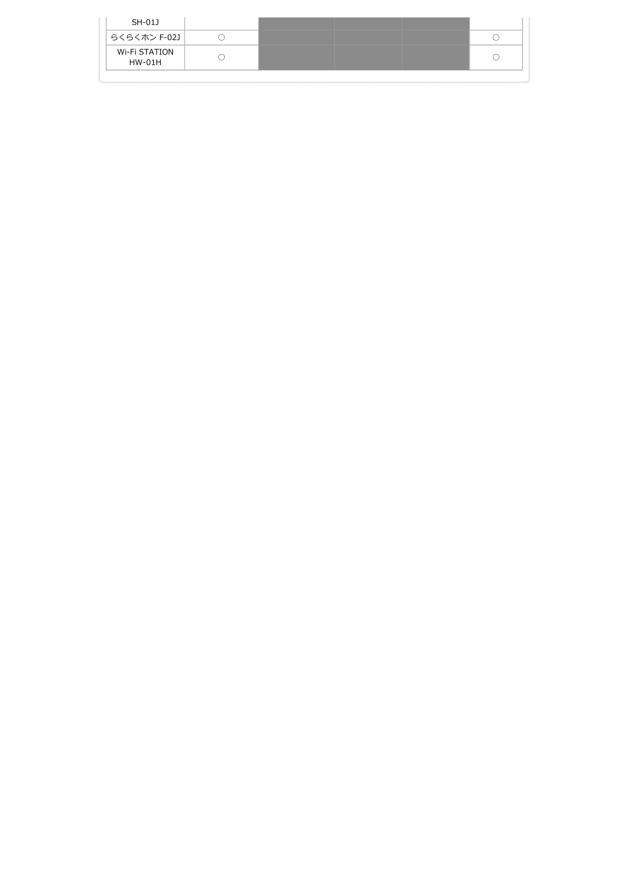| SH-01J                  |  |  |
|-------------------------|--|--|
| らくらくホン F-02J            |  |  |
| Wi-Fi STATION<br>HW-01H |  |  |
|                         |  |  |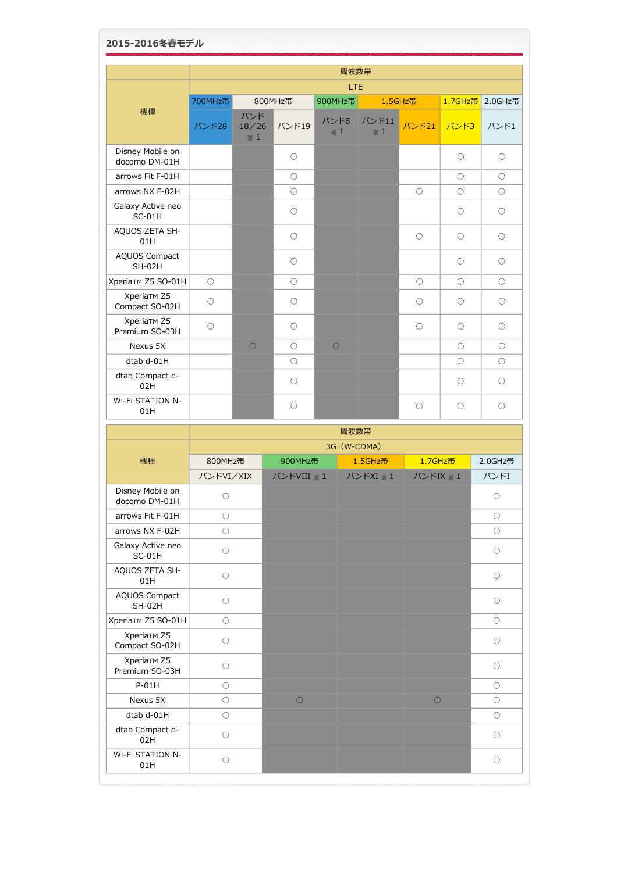|                                   |            | 周波数帯                       |                     |                    |                     |            |            |            |  |  |
|-----------------------------------|------------|----------------------------|---------------------|--------------------|---------------------|------------|------------|------------|--|--|
|                                   | LTE        |                            |                     |                    |                     |            |            |            |  |  |
|                                   | 700MHz帯    |                            | 800MHz帯             | 900MHz帯            |                     | 1.5GHz帯    | 1.7GHz帯    | 2.0GHz帯    |  |  |
| 機種                                | バンド28      | バンド<br>18/26<br>$\times 1$ | バンド19               | バンド8<br>$\times 1$ | バンド11<br>$\times 1$ | バンド21      | バンド3       | バンド1       |  |  |
| Disney Mobile on<br>docomo DM-01H |            |                            | $\circlearrowright$ |                    |                     |            | $\circ$    | $\bigcirc$ |  |  |
| arrows Fit F-01H                  |            |                            | $\bigcirc$          |                    |                     |            | $\bigcirc$ | $\bigcirc$ |  |  |
| arrows NX F-02H                   |            |                            | $\circlearrowright$ |                    |                     | $\circ$    | $\bigcirc$ | $\bigcirc$ |  |  |
| Galaxy Active neo<br>$SC-01H$     |            |                            | $\bigcirc$          |                    |                     |            | $\bigcirc$ | ∩          |  |  |
| AQUOS ZETA SH-<br>01H             |            |                            | $\circlearrowright$ |                    |                     | $\circ$    | $\bigcirc$ | $\bigcirc$ |  |  |
| <b>AQUOS Compact</b><br>$SH-02H$  |            |                            | $\bigcirc$          |                    |                     |            | $\bigcirc$ | $\bigcirc$ |  |  |
| XperiaTM Z5 SO-01H                | $\bigcirc$ |                            | $\bigcirc$          |                    |                     | $\bigcirc$ | $\bigcirc$ | $\bigcirc$ |  |  |
| XperiaTM Z5<br>Compact SO-02H     | $\circ$    |                            | $\circ$             |                    |                     | $\bigcirc$ | $\bigcirc$ | $\bigcirc$ |  |  |
| XperiaTM Z5<br>Premium SO-03H     | $\bigcirc$ |                            | $\circlearrowright$ |                    |                     | $\bigcirc$ | $\bigcirc$ | ∩          |  |  |
| Nexus 5X                          |            | $\circ$                    | $\bigcirc$          | $\circ$            |                     |            | $\bigcirc$ | $\bigcirc$ |  |  |
| dtab d-01H                        |            |                            | $\bigcirc$          |                    |                     |            | $\bigcirc$ | $\bigcirc$ |  |  |
| dtab Compact d-<br>02H            |            |                            | $\circlearrowright$ |                    |                     |            | $\bigcirc$ | $\circ$    |  |  |
| Wi-Fi STATION N-<br>01H           |            |                            | $\circlearrowright$ |                    |                     | $\bigcirc$ | $\bigcirc$ | $\bigcirc$ |  |  |

|                                   | 周波数帯                |                  |          |            |            |  |  |  |  |
|-----------------------------------|---------------------|------------------|----------|------------|------------|--|--|--|--|
|                                   | 3G (W-CDMA)         |                  |          |            |            |  |  |  |  |
| 機種                                | 800MHz帯             | 900MHz帯          | 1.5GHz帯  | 1.7GHz帯    | 2.0GHz帯    |  |  |  |  |
|                                   | バンドVI/XIX           | バンドVIII ※1       | バンドXI ※1 | バンドIX ※1   | バンドI       |  |  |  |  |
| Disney Mobile on<br>docomo DM-01H | $\circlearrowright$ |                  |          |            | О          |  |  |  |  |
| arrows Fit F-01H                  | $\bigcirc$          |                  |          |            | $\bigcirc$ |  |  |  |  |
| arrows NX F-02H                   | $\bigcirc$          |                  |          |            | $\bigcirc$ |  |  |  |  |
| Galaxy Active neo<br>$SC-01H$     | $\bigcirc$          |                  |          |            | $\bigcirc$ |  |  |  |  |
| AQUOS ZETA SH-<br>01H             | $\bigcirc$          |                  |          |            | $\bigcirc$ |  |  |  |  |
| <b>AQUOS Compact</b><br>$SH-02H$  | $\bigcirc$          |                  |          |            | $\bigcirc$ |  |  |  |  |
| XperiaTM Z5 SO-01H                | $\bigcirc$          |                  |          |            | $\bigcirc$ |  |  |  |  |
| XperiaTM Z5<br>Compact SO-02H     | $\bigcirc$          |                  |          |            | $\bigcirc$ |  |  |  |  |
| XperiaTM Z5<br>Premium SO-03H     | $\bigcirc$          |                  |          |            | $\bigcirc$ |  |  |  |  |
| $P-01H$                           | $\bigcirc$          |                  |          |            | $\bigcirc$ |  |  |  |  |
| Nexus 5X                          | $\bigcirc$          | $\left( \right)$ |          | $\bigcirc$ | $\bigcirc$ |  |  |  |  |
| dtab d-01H                        | $\bigcirc$          |                  |          |            | $\bigcirc$ |  |  |  |  |
| dtab Compact d-<br>02H            | $\bigcirc$          |                  |          |            | $\bigcirc$ |  |  |  |  |
| <b>Wi-Fi STATION N-</b><br>01H    | $\circ$             |                  |          |            | $\bigcirc$ |  |  |  |  |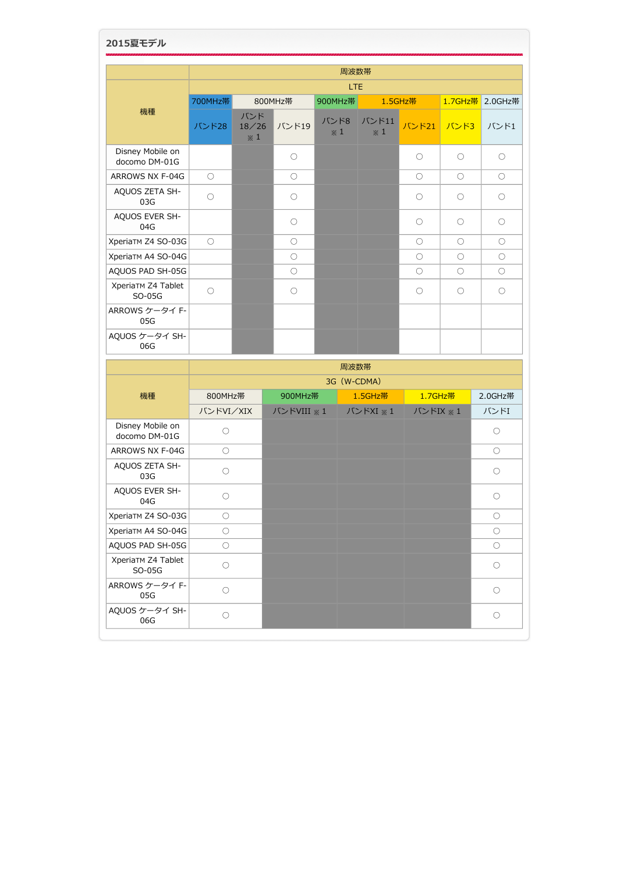| 2015夏モデル                          |            |                                         |                     |                    |      |                     |                     |                     |            |  |  |
|-----------------------------------|------------|-----------------------------------------|---------------------|--------------------|------|---------------------|---------------------|---------------------|------------|--|--|
|                                   |            |                                         |                     |                    |      |                     |                     |                     |            |  |  |
|                                   |            | 周波数帯                                    |                     |                    |      |                     |                     |                     |            |  |  |
|                                   | <b>LTE</b> |                                         |                     |                    |      |                     |                     |                     |            |  |  |
| 機種                                | 700MHz帯    |                                         | 800MHz帯             | 900MHz帯            |      |                     | 1.5GHz帯             | 1.7GHz帯             | 2.0GHz帯    |  |  |
|                                   | バンド28      | バンド<br>18/26<br>$\boldsymbol{\times}$ 1 | バンド19               | バンド8<br>$\times 1$ |      | バンド11<br>$\times 1$ | バンド21               | バンド3                | バンド1       |  |  |
| Disney Mobile on<br>docomo DM-01G |            |                                         | $\circlearrowright$ |                    |      |                     | $\circlearrowright$ | $\circlearrowright$ | $\bigcirc$ |  |  |
| ARROWS NX F-04G                   | $\bigcirc$ |                                         | $\bigcirc$          |                    |      |                     | $\bigcirc$          | $\bigcirc$          | $\bigcirc$ |  |  |
| AQUOS ZETA SH-<br>03G             | $\bigcirc$ |                                         | $\circlearrowright$ |                    |      |                     | О                   | $\bigcirc$          | $\bigcirc$ |  |  |
| AQUOS EVER SH-<br>04G             |            |                                         | $\circlearrowright$ |                    |      |                     | $\circlearrowright$ | $\bigcirc$          | $\circ$    |  |  |
| XperiaTM Z4 SO-03G                | $\bigcirc$ |                                         | $\bigcirc$          |                    |      |                     | $\circlearrowright$ | $\bigcirc$          | $\bigcirc$ |  |  |
| XperiaTM A4 SO-04G                |            |                                         | $\circlearrowright$ |                    |      |                     | $\circlearrowright$ | $\circlearrowright$ | $\bigcirc$ |  |  |
| AQUOS PAD SH-05G                  |            |                                         | $\bigcirc$          |                    |      |                     | 0                   | $\bigcirc$          | $\bigcirc$ |  |  |
| XperiaTM Z4 Tablet<br>SO-05G      | $\bigcirc$ |                                         | $\circlearrowright$ |                    |      |                     | $\bigcirc$          | $\bigcirc$          | $\bigcirc$ |  |  |
| ARROWS ケータイ F-<br>05G             |            |                                         |                     |                    |      |                     |                     |                     |            |  |  |
| AQUOS ケータイ SH-<br>06G             |            |                                         |                     |                    |      |                     |                     |                     |            |  |  |
|                                   |            |                                         |                     |                    | 周波数帯 |                     |                     |                     |            |  |  |
|                                   |            |                                         |                     |                    |      | 3G (W-CDMA)         |                     |                     |            |  |  |
| 機種                                | 800MHz帯    |                                         | 900MHz帯             |                    |      | 1.5GHz帯             | 1.7GHz帯             |                     | 2.0GHz帯    |  |  |
|                                   | バンドVI/XIX  |                                         | バンドVIII ※1          |                    |      | バンドXI ※1            | バンドIX ※1            |                     | バンドI       |  |  |
| Disney Mobile on<br>docomo DM-01G | $\bigcirc$ |                                         |                     |                    |      |                     |                     |                     | $\bigcirc$ |  |  |
| ARROWS NX F-04G                   | $\bigcirc$ |                                         |                     |                    |      |                     |                     |                     | О          |  |  |
| AQUOS ZETA SH-<br>03G             | $\bigcirc$ |                                         |                     |                    |      |                     |                     |                     | $\bigcirc$ |  |  |
| AQUOS EVER SH-<br>04G             | $\bigcirc$ |                                         |                     |                    |      |                     |                     |                     | $\bigcirc$ |  |  |

SO-05G ○ ○

XperiaTM Z4 SO-03G ○ ○ XperiaTM A4 SO-04G ○ ○ AQUOS PAD SH-05G ○ ○

ARROWS ケータイ F- <sub>DOOS</sub> DOOS - DOOS - DOOS - DOOS - DOOS - DOOS - DOOS - DOOS - DOOS - DOOS - DOOS - DOOS - DOOS<br>- 05G - DOOS - DOOS - DOOS - DOOS - DOOS - DOOS - DOOS - DOOS - DOOS - DOOS - DOOS - DOOS - DOOS - DOOS - DOO

AQUOS ケータイ SH-06G ○ ○

XperiaTM Z4 Tablet<br>SO-05G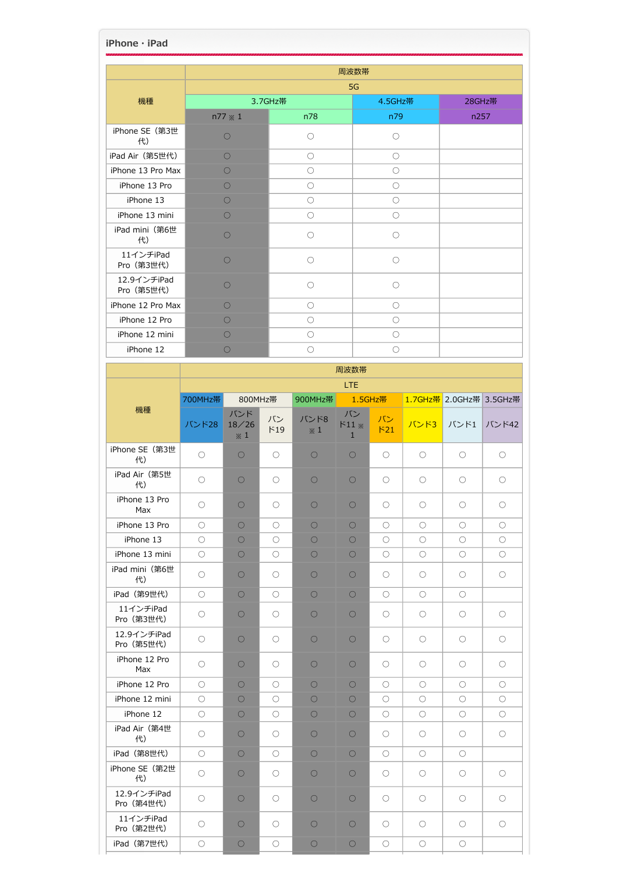| iPhone · iPad             |            |                      |           |                     |                                    |  |                     |                     |                         |                     |  |
|---------------------------|------------|----------------------|-----------|---------------------|------------------------------------|--|---------------------|---------------------|-------------------------|---------------------|--|
|                           |            |                      |           |                     | 周波数帯                               |  |                     |                     |                         |                     |  |
|                           | 5G         |                      |           |                     |                                    |  |                     |                     |                         |                     |  |
| 機種                        |            |                      | 3.7GHz帯   |                     |                                    |  | 4.5GHz带             |                     | 28GHz帯                  |                     |  |
|                           |            | $n77 \times 1$       |           | n78                 |                                    |  | n79                 |                     | n257                    |                     |  |
| iPhone SE (第3世<br>代)      |            | $\bigcirc$           |           | О                   |                                    |  | $\circ$             |                     |                         |                     |  |
| iPad Air (第5世代)           |            | $\bigcirc$           | O         |                     |                                    |  | $\bigcirc$          |                     |                         |                     |  |
| iPhone 13 Pro Max         |            | $\bigcirc$           |           | $\bigcirc$          |                                    |  | $\bigcirc$          |                     |                         |                     |  |
| iPhone 13 Pro             |            | $\circlearrowright$  |           | $\circlearrowright$ |                                    |  | $\circlearrowright$ |                     |                         |                     |  |
| iPhone 13                 |            | $\bigcirc$           |           | О                   |                                    |  | O                   |                     |                         |                     |  |
| iPhone 13 mini            |            | $\bigcirc$           |           | $\bigcirc$          |                                    |  | $\bigcirc$          |                     |                         |                     |  |
| iPad mini (第6世<br>代)      |            | О                    |           | О                   |                                    |  | О                   |                     |                         |                     |  |
| 11インチiPad<br>Pro (第3世代)   |            | $\circlearrowright$  |           | О                   |                                    |  | $\circ$             |                     |                         |                     |  |
| 12.9インチiPad<br>Pro (第5世代) |            | $\circlearrowright$  |           | О                   |                                    |  | $\circ$             |                     |                         |                     |  |
| iPhone 12 Pro Max         |            | O                    |           | O                   |                                    |  | O                   |                     |                         |                     |  |
| iPhone 12 Pro             |            | $\bigcirc$           |           | $\bigcirc$          |                                    |  | $\bigcirc$          |                     |                         |                     |  |
| iPhone 12 mini            |            | $\circlearrowright$  |           | $\circlearrowright$ |                                    |  | $\circlearrowright$ |                     |                         |                     |  |
| iPhone 12                 |            | $\bigcirc$           |           | О                   |                                    |  | O                   |                     |                         |                     |  |
|                           |            | 周波数帯                 |           |                     |                                    |  |                     |                     |                         |                     |  |
|                           |            |                      |           |                     | <b>LTE</b>                         |  |                     |                     |                         |                     |  |
|                           | 700MHz帯    | 800MHz帯              |           | 900MHz帯             |                                    |  | 1.5GHz帯             |                     | 1.7GHz帯 2.0GHz帯 3.5GHz帯 |                     |  |
| 機種                        | バンド28      | バンド<br>18/26<br>$*1$ | バン<br>F19 | バンド8<br>$*1$        | バン<br>$F11 \times$<br>$\mathbf{1}$ |  | バン<br>F21           | バンド3                | バンド1                    | バンド42               |  |
| iPhone SE (第3世<br>代)      | $\circ$    | $\circ$              | $\circ$   | $\bigcirc$          | $\bigcirc$                         |  | O                   | О                   | $\circ$                 | О                   |  |
| iPad Air (第5世<br>代)       | $\circ$    | О                    | $\circ$   | $\bigcirc$          | $\bigcirc$                         |  | $\bigcirc$          | О                   | $\bigcirc$              | О                   |  |
| iPhone 13 Pro<br>Max      | $\circ$    | $\circ$              | $\circ$   | $\circ$             | O                                  |  | О                   | $\circlearrowright$ | $\circlearrowright$     | О                   |  |
| iPhone 13 Pro             | $\circ$    | $\circ$              | $\circ$   | $\circ$             | $\circ$                            |  | $\circlearrowright$ | $\bigcirc$          | $\circ$                 | $\bigcirc$          |  |
| iPhone 13                 | $\circ$    | $\circ$              | $\circ$   | $\circ$             | $\bigcirc$                         |  | $\bigcirc$          | $\circlearrowright$ | $\circlearrowright$     | O                   |  |
| iPhone 13 mini            | $\circ$    | О                    | О         | $\circ$             | $\circ$                            |  | О                   | О                   | $\circlearrowright$     | О                   |  |
| iPad mini (第6世<br>代)      | $\circ$    | $\circ$              | $\circ$   | О                   | 0                                  |  | O                   | О                   | $\circ$                 | О                   |  |
| iPad (第9世代)               | $\circ$    | $\circ$              | $\circ$   | О                   | $\circ$                            |  | $\bigcirc$          | $\circlearrowright$ | $\circ$                 |                     |  |
| 11インチiPad<br>Pro (第3世代)   | $\circ$    | $\circlearrowright$  | $\circ$   | $\circ$             | О                                  |  | О                   | $\circlearrowright$ | $\circ$                 | О                   |  |
| 12.9インチiPad<br>Pro (第5世代) | $\circ$    | $\circlearrowright$  | $\circ$   | $\bigcirc$          | О                                  |  | $\circ$             | $\circlearrowright$ | $\circ$                 | О                   |  |
| iPhone 12 Pro<br>Max      | $\circ$    | $\circlearrowright$  | $\circ$   | О                   | О                                  |  | O                   | $\circlearrowright$ | $\circ$                 | О                   |  |
| iPhone 12 Pro             | $\circ$    | $\circ$              | $\circ$   | О                   | $\circ$                            |  | О                   | $\bigcirc$          | $\circ$                 | О                   |  |
| iPhone 12 mini            | $\circ$    | $\circ$              | $\circ$   | $\bigcirc$          | 0                                  |  | $\circ$             | $\bigcirc$          | $\circ$                 | O                   |  |
| iPhone 12                 | $\circ$    | О                    | О         | О                   | О                                  |  | О                   | $\bigcirc$          | $\circ$                 | О                   |  |
| iPad Air (第4世<br>代)       | $\circ$    | O                    | $\circ$   | 0                   | $\circ$                            |  | O                   | O                   | $\circ$                 | О                   |  |
| iPad (第8世代)               | $\circ$    | $\circlearrowright$  | $\circ$   | $\circlearrowright$ | О                                  |  | О                   | О                   | $\circ$                 |                     |  |
| iPhone SE (第2世<br>代)      | $\circ$    | $\circ$              | $\circ$   | $\circ$             | 0                                  |  | O                   | $\circlearrowright$ | $\circ$                 | $\circlearrowright$ |  |
| 12.9インチiPad<br>Pro (第4世代) | $\circ$    | $\circ$              | $\circ$   | $\bigcirc$          | $\circ$                            |  | O                   | О                   | $\circ$                 | О                   |  |
| 11インチiPad<br>Pro (第2世代)   | $\circ$    | $\circ$              | $\circ$   | $\circ$             | О                                  |  | О                   | О                   | $\circ$                 | О                   |  |
| iPad (第7世代)               | $\bigcirc$ | $\bigcirc$           | О         | $\bigcirc$          | $\bigcirc$                         |  | $\bigcirc$          | $\bigcirc$          | $\bigcirc$              |                     |  |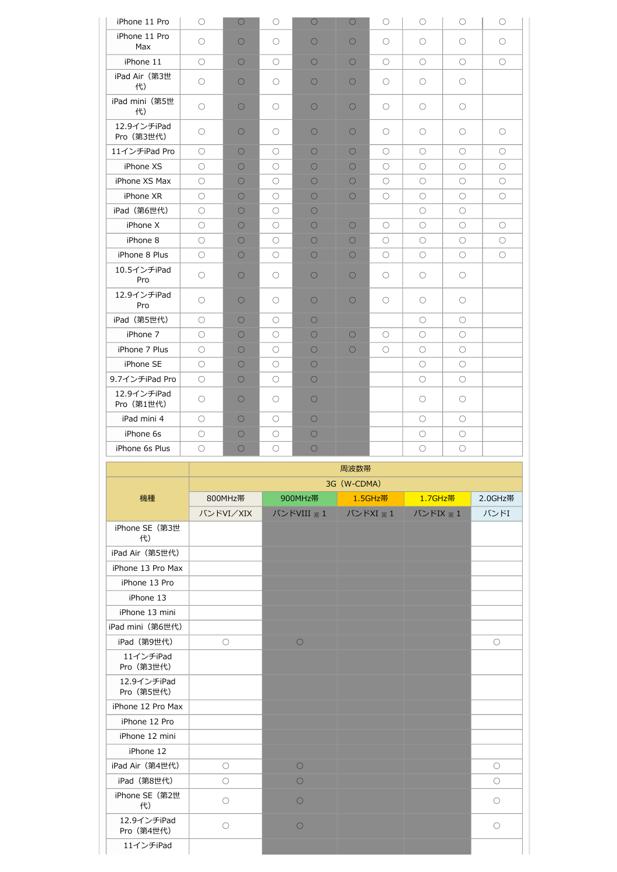| iPhone 11 Pro             | $\circlearrowright$ | $\circ$    | $\circ$             | $\circ$    | $\circ$    | $\circlearrowright$ | $\circlearrowright$ | $\circlearrowright$ | $\circlearrowright$ |
|---------------------------|---------------------|------------|---------------------|------------|------------|---------------------|---------------------|---------------------|---------------------|
| iPhone 11 Pro<br>Max      | 0                   | $\circ$    | $\bigcirc$          | $\bigcirc$ | $\bigcirc$ | $\bigcirc$          | $\bigcirc$          | $\bigcirc$          | $\bigcirc$          |
| iPhone 11                 | $\bigcirc$          | $\circ$    | $\bigcirc$          | $\circ$    | $\bigcirc$ | $\bigcirc$          | $\bigcirc$          | $\bigcirc$          | $\bigcirc$          |
| iPad Air (第3世<br>代)       | О                   | О          | $\circ$             | $\bigcirc$ | $\circ$    | О                   | О                   | О                   |                     |
| iPad mini (第5世<br>代)      | 0                   | $\bigcirc$ | $\bigcirc$          | $\bigcirc$ | $\bigcirc$ | $\bigcirc$          | $\bigcirc$          | $\bigcirc$          |                     |
| 12.9インチiPad<br>Pro (第3世代) | O                   | $\bigcirc$ | $\bigcirc$          | $\bigcirc$ | $\bigcirc$ | $\bigcirc$          | O                   | $\bigcirc$          | O                   |
| 11インチiPad Pro             | $\circlearrowright$ | $\circ$    | $\bigcirc$          | $\circ$    | $\circ$    | $\circlearrowright$ | $\bigcirc$          | $\bigcirc$          | $\bigcirc$          |
| iPhone XS                 | 0                   | 0          | $\bigcirc$          | $\bigcirc$ | $\bigcirc$ | $\bigcirc$          | $\bigcirc$          | $\bigcirc$          | O                   |
| iPhone XS Max             | 0                   | 0          | $\bigcirc$          | $\bigcirc$ | $\circ$    | $\bigcirc$          | $\bigcirc$          | 0                   | O                   |
| iPhone XR                 | О                   | О          | $\circ$             | $\bigcirc$ | $\circ$    | $\circlearrowright$ | $\bigcirc$          | О                   | $\circlearrowright$ |
| iPad (第6世代)               | $\bigcirc$          | $\circ$    | $\bigcirc$          | $\bigcirc$ |            |                     | $\bigcirc$          | $\bigcirc$          |                     |
| iPhone X                  | $\bigcirc$          | 0          | $\bigcirc$          | $\bigcirc$ | $\bigcirc$ | $\bigcirc$          | $\bigcirc$          | $\bigcirc$          | O                   |
| iPhone 8                  | $\bigcirc$          | 0          | $\bigcirc$          | $\bigcirc$ | $\circ$    | O                   | O                   | $\bigcirc$          | 0                   |
| iPhone 8 Plus             | $\bigcirc$          | $\circ$    | $\circ$             | $\bigcirc$ | $\bigcirc$ | $\circlearrowright$ | $\bigcirc$          | $\bigcirc$          | $\circlearrowright$ |
| 10.5インチiPad<br>Pro        | $\bigcirc$          | $\bigcirc$ | $\bigcirc$          | $\bigcirc$ | $\bigcirc$ | $\circ$             | $\bigcirc$          | $\bigcirc$          |                     |
| 12.9インチiPad<br>Pro        | $\bigcirc$          | $\circ$    | $\bigcirc$          | $\bigcirc$ | $\circ$    | O                   | О                   | $\bigcirc$          |                     |
| iPad (第5世代)               | $\bigcirc$          | $\circ$    | $\bigcirc$          | $\bigcirc$ |            |                     | $\bigcirc$          | $\bigcirc$          |                     |
| iPhone 7                  | 0                   | 0          | $\bigcirc$          | $\bigcirc$ | $\bigcirc$ | $\bigcirc$          | O                   | $\bigcirc$          |                     |
| iPhone 7 Plus             | 0                   | $\bigcirc$ | $\bigcirc$          | $\bigcirc$ | $\circ$    | $\bigcirc$          | $\bigcirc$          | $\bigcirc$          |                     |
| iPhone SE                 | $\bigcirc$          | О          | $\circ$             | $\bigcirc$ |            |                     | $\circlearrowright$ | О                   |                     |
| 9.7インチiPad Pro            | $\bigcirc$          | $\bigcirc$ | $\bigcirc$          | $\bigcirc$ |            |                     | $\bigcirc$          | $\bigcirc$          |                     |
| 12.9インチiPad<br>Pro (第1世代) | $\bigcirc$          | $\bigcirc$ | $\circlearrowright$ | $\circ$    |            |                     | $\circ$             | $\circlearrowright$ |                     |
| iPad mini 4               | O                   | 0          | $\bigcirc$          | $\bigcirc$ |            |                     | O                   | $\bigcirc$          |                     |
| iPhone 6s                 | 0                   | $\circ$    | $\circ$             | $\bigcirc$ |            |                     | $\circlearrowright$ | $\circlearrowright$ |                     |
| iPhone 6s Plus            | О                   | О          | $\circlearrowright$ | $\circ$    |            |                     | $\circ$             | $\bigcirc$          |                     |
|                           |                     |            |                     |            |            |                     |                     |                     |                     |

|                           | 周波数帯                |            |          |          |                     |  |  |  |  |
|---------------------------|---------------------|------------|----------|----------|---------------------|--|--|--|--|
|                           | 3G (W-CDMA)         |            |          |          |                     |  |  |  |  |
| 機種                        | 800MHz帯             | 900MHz帯    | 1.5GHz帯  | 1.7GHz帯  | 2.0GHz帯             |  |  |  |  |
|                           | バンドVI/XIX           | バンドVIII ※1 | バンドXI ※1 | バンドIX ※1 | バンドI                |  |  |  |  |
| iPhone SE (第3世<br>代)      |                     |            |          |          |                     |  |  |  |  |
| iPad Air (第5世代)           |                     |            |          |          |                     |  |  |  |  |
| iPhone 13 Pro Max         |                     |            |          |          |                     |  |  |  |  |
| iPhone 13 Pro             |                     |            |          |          |                     |  |  |  |  |
| iPhone 13                 |                     |            |          |          |                     |  |  |  |  |
| iPhone 13 mini            |                     |            |          |          |                     |  |  |  |  |
| iPad mini (第6世代)          |                     |            |          |          |                     |  |  |  |  |
| iPad (第9世代)               | $\circ$             | $\circ$    |          |          | $\circ$             |  |  |  |  |
| 11インチiPad<br>Pro (第3世代)   |                     |            |          |          |                     |  |  |  |  |
| 12.9インチiPad<br>Pro (第5世代) |                     |            |          |          |                     |  |  |  |  |
| iPhone 12 Pro Max         |                     |            |          |          |                     |  |  |  |  |
| iPhone 12 Pro             |                     |            |          |          |                     |  |  |  |  |
| iPhone 12 mini            |                     |            |          |          |                     |  |  |  |  |
| iPhone 12                 |                     |            |          |          |                     |  |  |  |  |
| iPad Air (第4世代)           | $\bigcirc$          | $\circ$    |          |          | $\bigcirc$          |  |  |  |  |
| iPad (第8世代)               | $\circlearrowright$ | $\circ$    |          |          | $\circlearrowright$ |  |  |  |  |
| iPhone SE (第2世<br>代)      | $\bigcirc$          | $\bigcirc$ |          |          | $\bigcirc$          |  |  |  |  |
| 12.9インチiPad<br>Pro (第4世代) | $\bigcirc$          | $\bigcirc$ |          |          | $\circ$             |  |  |  |  |
| 11インチiPad                 |                     |            |          |          |                     |  |  |  |  |